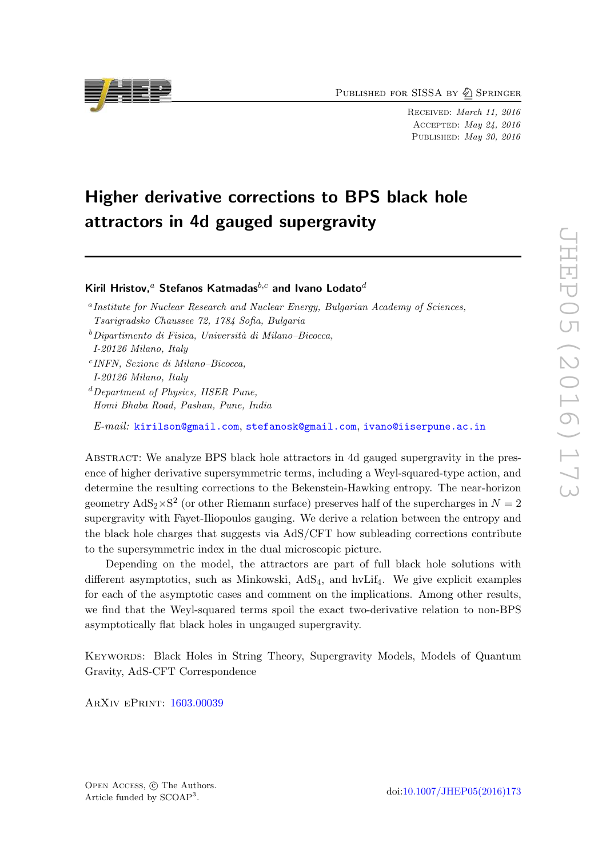PUBLISHED FOR SISSA BY 2 SPRINGER

Received: March 11, 2016 Accepted: May 24, 2016 PUBLISHED: May 30, 2016

# Higher derivative corrections to BPS black hole attractors in 4d gauged supergravity

Kiril Hristov,<sup>a</sup> Stefanos Katmadas<sup>b,c</sup> and Ivano Lodato<sup>d</sup>

c INFN, Sezione di Milano–Bicocca,

 $d$ Department of Physics, IISER Pune, Homi Bhaba Road, Pashan, Pune, India

E-mail: [kirilson@gmail.com](mailto:kirilson@gmail.com), [stefanosk@gmail.com](mailto:stefanosk@gmail.com), [ivano@iiserpune.ac.in](mailto:ivano@iiserpune.ac.in)

Abstract: We analyze BPS black hole attractors in 4d gauged supergravity in the presence of higher derivative supersymmetric terms, including a Weyl-squared-type action, and determine the resulting corrections to the Bekenstein-Hawking entropy. The near-horizon geometry  $AdS_2 \times S^2$  (or other Riemann surface) preserves half of the supercharges in  $N = 2$ supergravity with Fayet-Iliopoulos gauging. We derive a relation between the entropy and the black hole charges that suggests via AdS/CFT how subleading corrections contribute to the supersymmetric index in the dual microscopic picture.

Depending on the model, the attractors are part of full black hole solutions with different asymptotics, such as Minkowski,  $AdS_4$ , and hvLif<sub>4</sub>. We give explicit examples for each of the asymptotic cases and comment on the implications. Among other results, we find that the Weyl-squared terms spoil the exact two-derivative relation to non-BPS asymptotically flat black holes in ungauged supergravity.

Keywords: Black Holes in String Theory, Supergravity Models, Models of Quantum Gravity, AdS-CFT Correspondence

ArXiv ePrint: [1603.00039](http://arxiv.org/abs/1603.00039)



<sup>&</sup>lt;sup>a</sup> Institute for Nuclear Research and Nuclear Energy, Bulgarian Academy of Sciences, Tsarigradsko Chaussee 72, 1784 Sofia, Bulgaria

 $b$ Dipartimento di Fisica, Università di Milano–Bicocca,

I-20126 Milano, Italy

I-20126 Milano, Italy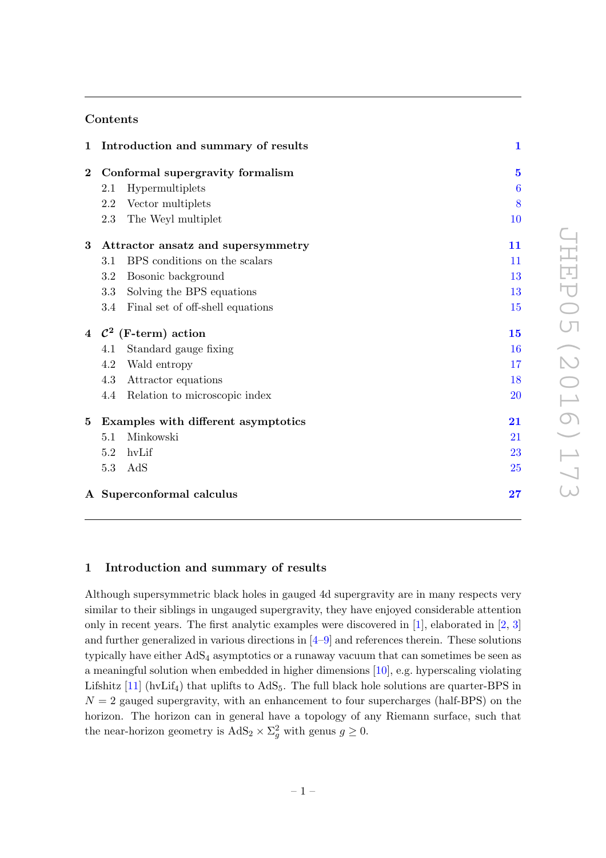# Contents

|          |                                    | 1 Introduction and summary of results | $\mathbf{1}$     |
|----------|------------------------------------|---------------------------------------|------------------|
| $\bf{2}$ |                                    | Conformal supergravity formalism      | $\overline{5}$   |
|          | 2.1                                | Hypermultiplets                       | $\boldsymbol{6}$ |
|          | 2.2                                | Vector multiplets                     | 8                |
|          | 2.3                                | The Weyl multiplet                    | 10               |
| $\bf{3}$ | Attractor ansatz and supersymmetry | 11                                    |                  |
|          | 3.1                                | BPS conditions on the scalars         | 11               |
|          | 3.2                                | Bosonic background                    | 13               |
|          | 3.3                                | Solving the BPS equations             | 13               |
|          | 3.4                                | Final set of off-shell equations      | 15               |
|          |                                    | 4 $\mathcal{C}^2$ (F-term) action     | 15               |
|          | 4.1                                | Standard gauge fixing                 | 16               |
|          | 4.2                                | Wald entropy                          | 17               |
|          | 4.3                                | Attractor equations                   | 18               |
|          | 4.4                                | Relation to microscopic index         | 20               |
| $\bf{5}$ |                                    | Examples with different asymptotics   | 21               |
|          | 5.1                                | Minkowski                             | 21               |
|          | 5.2                                | hvLif                                 | 23               |
|          | 5.3                                | AdS                                   | 25               |
|          |                                    | A Superconformal calculus             | 27               |

# <span id="page-1-0"></span>1 Introduction and summary of results

Although supersymmetric black holes in gauged 4d supergravity are in many respects very similar to their siblings in ungauged supergravity, they have enjoyed considerable attention only in recent years. The first analytic examples were discovered in  $[1]$ , elaborated in  $[2, 3]$  $[2, 3]$ and further generalized in various directions in [\[4](#page-30-3)[–9](#page-30-4)] and references therein. These solutions typically have either  $AdS_4$  asymptotics or a runaway vacuum that can sometimes be seen as a meaningful solution when embedded in higher dimensions [\[10\]](#page-30-5), e.g. hyperscaling violating Lifshitz  $[11]$  (hvLif<sub>4</sub>) that uplifts to AdS<sub>5</sub>. The full black hole solutions are quarter-BPS in  $N = 2$  gauged supergravity, with an enhancement to four supercharges (half-BPS) on the horizon. The horizon can in general have a topology of any Riemann surface, such that the near-horizon geometry is  $AdS_2 \times \Sigma_g^2$  with genus  $g \geq 0$ .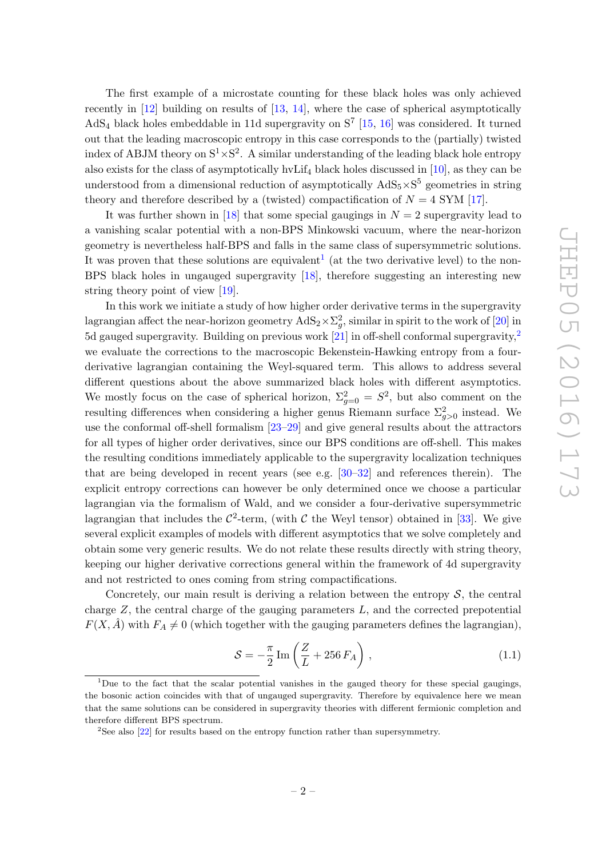The first example of a microstate counting for these black holes was only achieved recently in [\[12](#page-30-7)] building on results of [\[13,](#page-30-8) [14](#page-30-9)], where the case of spherical asymptotically AdS<sub>4</sub> black holes embeddable in 11d supergravity on  $S^7$  [\[15](#page-30-10), [16\]](#page-30-11) was considered. It turned out that the leading macroscopic entropy in this case corresponds to the (partially) twisted index of ABJM theory on  $S^1 \times S^2$ . A similar understanding of the leading black hole entropy also exists for the class of asymptotically hvLif<sub>4</sub> black holes discussed in  $[10]$ , as they can be understood from a dimensional reduction of asymptotically  $AdS_5 \times S^5$  geometries in string theory and therefore described by a (twisted) compactification of  $N = 4$  SYM [\[17](#page-30-12)].

It was further shown in [\[18\]](#page-30-13) that some special gaugings in  $N = 2$  supergravity lead to a vanishing scalar potential with a non-BPS Minkowski vacuum, where the near-horizon geometry is nevertheless half-BPS and falls in the same class of supersymmetric solutions. It was proven that these solutions are equivalent<sup>[1](#page-2-0)</sup> (at the two derivative level) to the non-BPS black holes in ungauged supergravity [\[18\]](#page-30-13), therefore suggesting an interesting new string theory point of view [\[19\]](#page-31-0).

In this work we initiate a study of how higher order derivative terms in the supergravity lagrangian affect the near-horizon geometry  $\text{AdS}_2 \times \Sigma_g^2$ , similar in spirit to the work of  $[20]$  in 5d gauged supergravity. Building on previous work [\[21](#page-31-2)] in off-shell conformal supergravity,[2](#page-2-1) we evaluate the corrections to the macroscopic Bekenstein-Hawking entropy from a fourderivative lagrangian containing the Weyl-squared term. This allows to address several different questions about the above summarized black holes with different asymptotics. We mostly focus on the case of spherical horizon,  $\Sigma_{g=0}^2 = S^2$ , but also comment on the resulting differences when considering a higher genus Riemann surface  $\Sigma_{g>0}^2$  instead. We use the conformal off-shell formalism [\[23](#page-31-3)[–29\]](#page-31-4) and give general results about the attractors for all types of higher order derivatives, since our BPS conditions are off-shell. This makes the resulting conditions immediately applicable to the supergravity localization techniques that are being developed in recent years (see e.g. [\[30](#page-31-5)[–32](#page-31-6)] and references therein). The explicit entropy corrections can however be only determined once we choose a particular lagrangian via the formalism of Wald, and we consider a four-derivative supersymmetric lagrangian that includes the  $C^2$ -term, (with C the Weyl tensor) obtained in [\[33](#page-31-7)]. We give several explicit examples of models with different asymptotics that we solve completely and obtain some very generic results. We do not relate these results directly with string theory, keeping our higher derivative corrections general within the framework of 4d supergravity and not restricted to ones coming from string compactifications.

Concretely, our main result is deriving a relation between the entropy  $S$ , the central charge  $Z$ , the central charge of the gauging parameters  $L$ , and the corrected prepotential  $F(X, \hat{A})$  with  $F_A \neq 0$  (which together with the gauging parameters defines the lagrangian),

<span id="page-2-2"></span>
$$
S = -\frac{\pi}{2} \operatorname{Im} \left( \frac{Z}{L} + 256 F_A \right), \qquad (1.1)
$$

<span id="page-2-0"></span><sup>1</sup>Due to the fact that the scalar potential vanishes in the gauged theory for these special gaugings, the bosonic action coincides with that of ungauged supergravity. Therefore by equivalence here we mean that the same solutions can be considered in supergravity theories with different fermionic completion and therefore different BPS spectrum.

<span id="page-2-1"></span><sup>&</sup>lt;sup>2</sup>See also [\[22\]](#page-31-8) for results based on the entropy function rather than supersymmetry.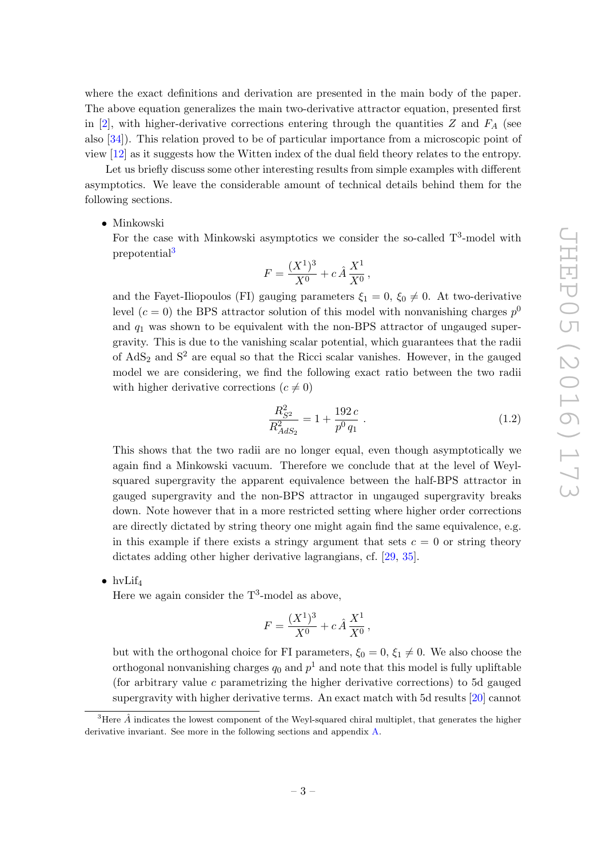where the exact definitions and derivation are presented in the main body of the paper. The above equation generalizes the main two-derivative attractor equation, presented first in [\[2\]](#page-30-1), with higher-derivative corrections entering through the quantities Z and  $F_A$  (see also [\[34\]](#page-31-9)). This relation proved to be of particular importance from a microscopic point of view [\[12\]](#page-30-7) as it suggests how the Witten index of the dual field theory relates to the entropy.

Let us briefly discuss some other interesting results from simple examples with different asymptotics. We leave the considerable amount of technical details behind them for the following sections.

### • Minkowski

For the case with Minkowski asymptotics we consider the so-called  $T^3$ -model with prepotential<sup>[3](#page-3-0)</sup>

$$
F = \frac{(X^1)^3}{X^0} + c \,\hat{A}\,\frac{X^1}{X^0}\,,
$$

and the Fayet-Iliopoulos (FI) gauging parameters  $\xi_1 = 0$ ,  $\xi_0 \neq 0$ . At two-derivative level  $(c = 0)$  the BPS attractor solution of this model with nonvanishing charges  $p^0$ and  $q_1$  was shown to be equivalent with the non-BPS attractor of ungauged supergravity. This is due to the vanishing scalar potential, which guarantees that the radii of  $AdS_2$  and  $S^2$  are equal so that the Ricci scalar vanishes. However, in the gauged model we are considering, we find the following exact ratio between the two radii with higher derivative corrections  $(c \neq 0)$ 

$$
\frac{R_{S^2}^2}{R_{AdS_2}^2} = 1 + \frac{192 c}{p^0 q_1} \tag{1.2}
$$

This shows that the two radii are no longer equal, even though asymptotically we again find a Minkowski vacuum. Therefore we conclude that at the level of Weylsquared supergravity the apparent equivalence between the half-BPS attractor in gauged supergravity and the non-BPS attractor in ungauged supergravity breaks down. Note however that in a more restricted setting where higher order corrections are directly dictated by string theory one might again find the same equivalence, e.g. in this example if there exists a stringy argument that sets  $c = 0$  or string theory dictates adding other higher derivative lagrangians, cf. [\[29](#page-31-4), [35](#page-31-10)].

•  $hvlif_4$ 

Here we again consider the  $T^3$ -model as above,

$$
F = \frac{(X^1)^3}{X^0} + c \,\hat{A}\,\frac{X^1}{X^0}\,,
$$

but with the orthogonal choice for FI parameters,  $\xi_0 = 0$ ,  $\xi_1 \neq 0$ . We also choose the orthogonal nonvanishing charges  $q_0$  and  $p^1$  and note that this model is fully upliftable (for arbitrary value  $c$  parametrizing the higher derivative corrections) to 5d gauged supergravity with higher derivative terms. An exact match with 5d results [\[20](#page-31-1)] cannot

<span id="page-3-0"></span><sup>&</sup>lt;sup>3</sup>Here  $\hat{A}$  indicates the lowest component of the Weyl-squared chiral multiplet, that generates the higher derivative invariant. See more in the following sections and appendix [A.](#page-27-0)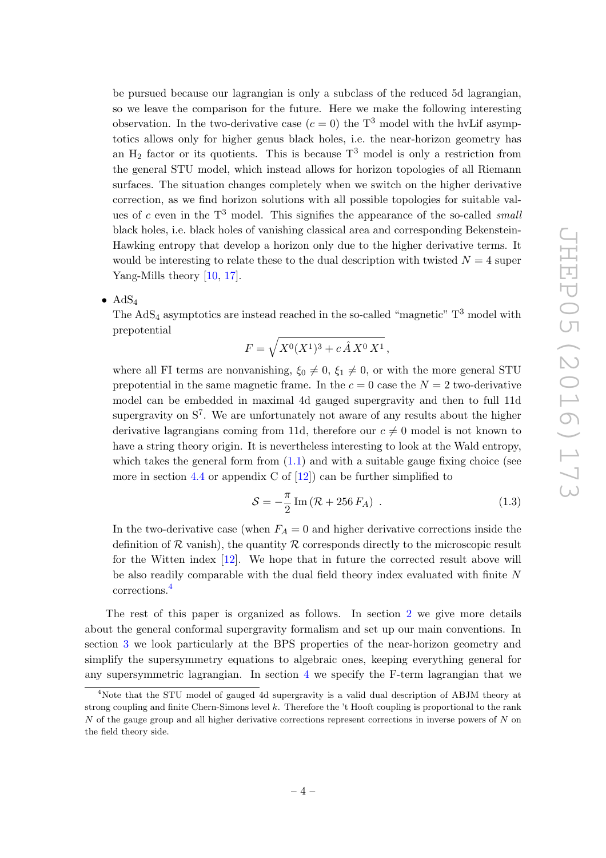be pursued because our lagrangian is only a subclass of the reduced 5d lagrangian, so we leave the comparison for the future. Here we make the following interesting observation. In the two-derivative case  $(c = 0)$  the T<sup>3</sup> model with the hvLif asymptotics allows only for higher genus black holes, i.e. the near-horizon geometry has an  $H_2$  factor or its quotients. This is because  $T^3$  model is only a restriction from the general STU model, which instead allows for horizon topologies of all Riemann surfaces. The situation changes completely when we switch on the higher derivative correction, as we find horizon solutions with all possible topologies for suitable values of c even in the  $T<sup>3</sup>$  model. This signifies the appearance of the so-called small black holes, i.e. black holes of vanishing classical area and corresponding Bekenstein-Hawking entropy that develop a horizon only due to the higher derivative terms. It would be interesting to relate these to the dual description with twisted  $N = 4$  super Yang-Mills theory [\[10,](#page-30-5) [17](#page-30-12)].

•  $AdS_4$ 

The  $AdS_4$  asymptotics are instead reached in the so-called "magnetic"  $T^3$  model with prepotential

$$
F = \sqrt{X^0(X^1)^3 + c\,\hat{A}\,X^0\,X^1} \,,
$$

where all FI terms are nonvanishing,  $\xi_0 \neq 0$ ,  $\xi_1 \neq 0$ , or with the more general STU prepotential in the same magnetic frame. In the  $c = 0$  case the  $N = 2$  two-derivative model can be embedded in maximal 4d gauged supergravity and then to full 11d supergravity on  $S^7$ . We are unfortunately not aware of any results about the higher derivative lagrangians coming from 11d, therefore our  $c \neq 0$  model is not known to have a string theory origin. It is nevertheless interesting to look at the Wald entropy, which takes the general form from  $(1.1)$  and with a suitable gauge fixing choice (see more in section [4.4](#page-20-0) or appendix C of  $[12]$  can be further simplified to

$$
S = -\frac{\pi}{2} \operatorname{Im} \left( \mathcal{R} + 256 F_A \right) . \tag{1.3}
$$

In the two-derivative case (when  $F_A = 0$  and higher derivative corrections inside the definition of  $\mathcal R$  vanish), the quantity  $\mathcal R$  corresponds directly to the microscopic result for the Witten index [\[12\]](#page-30-7). We hope that in future the corrected result above will be also readily comparable with the dual field theory index evaluated with finite N corrections.[4](#page-4-0)

The rest of this paper is organized as follows. In section [2](#page-5-0) we give more details about the general conformal supergravity formalism and set up our main conventions. In section [3](#page-11-0) we look particularly at the BPS properties of the near-horizon geometry and simplify the supersymmetry equations to algebraic ones, keeping everything general for any supersymmetric lagrangian. In section [4](#page-15-1) we specify the F-term lagrangian that we

<span id="page-4-0"></span><sup>4</sup>Note that the STU model of gauged 4d supergravity is a valid dual description of ABJM theory at strong coupling and finite Chern-Simons level k. Therefore the 't Hooft coupling is proportional to the rank  $N$  of the gauge group and all higher derivative corrections represent corrections in inverse powers of  $N$  on the field theory side.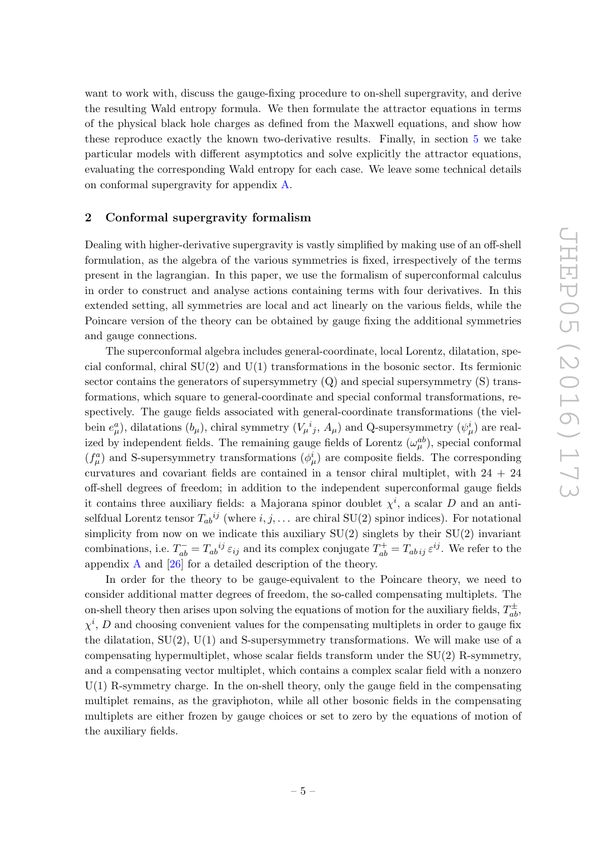want to work with, discuss the gauge-fixing procedure to on-shell supergravity, and derive the resulting Wald entropy formula. We then formulate the attractor equations in terms of the physical black hole charges as defined from the Maxwell equations, and show how these reproduce exactly the known two-derivative results. Finally, in section [5](#page-21-0) we take particular models with different asymptotics and solve explicitly the attractor equations, evaluating the corresponding Wald entropy for each case. We leave some technical details on conformal supergravity for appendix [A.](#page-27-0)

# <span id="page-5-0"></span>2 Conformal supergravity formalism

Dealing with higher-derivative supergravity is vastly simplified by making use of an off-shell formulation, as the algebra of the various symmetries is fixed, irrespectively of the terms present in the lagrangian. In this paper, we use the formalism of superconformal calculus in order to construct and analyse actions containing terms with four derivatives. In this extended setting, all symmetries are local and act linearly on the various fields, while the Poincare version of the theory can be obtained by gauge fixing the additional symmetries and gauge connections.

The superconformal algebra includes general-coordinate, local Lorentz, dilatation, special conformal, chiral  $SU(2)$  and  $U(1)$  transformations in the bosonic sector. Its fermionic sector contains the generators of supersymmetry  $(Q)$  and special supersymmetry  $(S)$  transformations, which square to general-coordinate and special conformal transformations, respectively. The gauge fields associated with general-coordinate transformations (the vielbein  $e^a_\mu$ ), dilatations  $(b_\mu)$ , chiral symmetry  $(V_\mu{}^i{}_j, A_\mu)$  and Q-supersymmetry  $(\psi^i_\mu)$  are realized by independent fields. The remaining gauge fields of Lorentz  $(\omega_{\mu}^{ab})$ , special conformal  $(f^a_\mu)$  and S-supersymmetry transformations  $(\phi^i_\mu)$  are composite fields. The corresponding curvatures and covariant fields are contained in a tensor chiral multiplet, with  $24 + 24$ off-shell degrees of freedom; in addition to the independent superconformal gauge fields it contains three auxiliary fields: a Majorana spinor doublet  $\chi^i$ , a scalar D and an antiselfdual Lorentz tensor  $T_{ab}{}^{ij}$  (where  $i, j, \ldots$  are chiral SU(2) spinor indices). For notational simplicity from now on we indicate this auxiliary  $SU(2)$  singlets by their  $SU(2)$  invariant combinations, i.e.  $T_{ab}^- = T_{ab}{}^{ij} \varepsilon_{ij}$  and its complex conjugate  $T_{ab}^+ = T_{ab\,ij} \varepsilon^{ij}$ . We refer to the appendix [A](#page-27-0) and [\[26\]](#page-31-11) for a detailed description of the theory.

In order for the theory to be gauge-equivalent to the Poincare theory, we need to consider additional matter degrees of freedom, the so-called compensating multiplets. The on-shell theory then arises upon solving the equations of motion for the auxiliary fields,  $T_{ab}^{\pm}$ ,  $\chi^i$ , D and choosing convenient values for the compensating multiplets in order to gauge fix the dilatation,  $SU(2)$ ,  $U(1)$  and S-supersymmetry transformations. We will make use of a compensating hypermultiplet, whose scalar fields transform under the SU(2) R-symmetry, and a compensating vector multiplet, which contains a complex scalar field with a nonzero  $U(1)$  R-symmetry charge. In the on-shell theory, only the gauge field in the compensating multiplet remains, as the graviphoton, while all other bosonic fields in the compensating multiplets are either frozen by gauge choices or set to zero by the equations of motion of the auxiliary fields.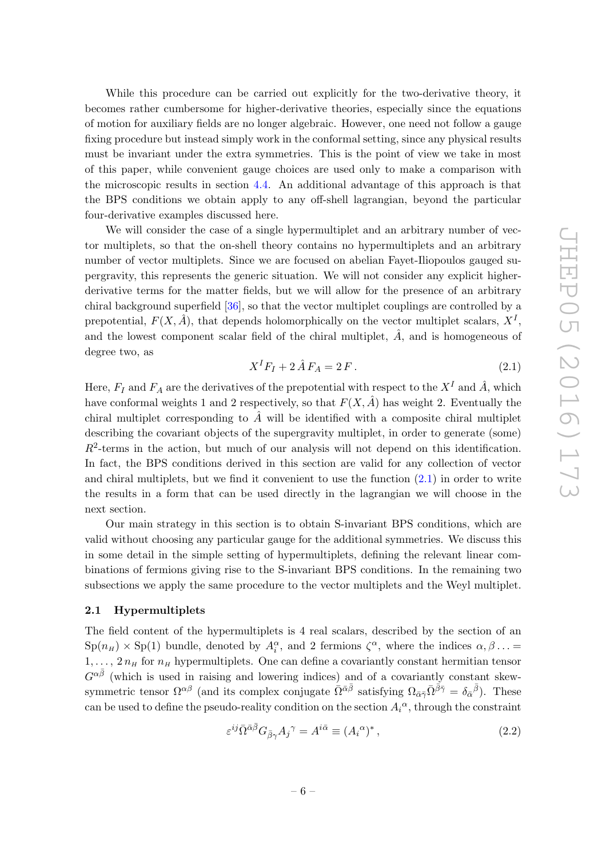While this procedure can be carried out explicitly for the two-derivative theory, it becomes rather cumbersome for higher-derivative theories, especially since the equations of motion for auxiliary fields are no longer algebraic. However, one need not follow a gauge fixing procedure but instead simply work in the conformal setting, since any physical results must be invariant under the extra symmetries. This is the point of view we take in most of this paper, while convenient gauge choices are used only to make a comparison with the microscopic results in section [4.4.](#page-20-0) An additional advantage of this approach is that the BPS conditions we obtain apply to any off-shell lagrangian, beyond the particular four-derivative examples discussed here.

We will consider the case of a single hypermultiplet and an arbitrary number of vector multiplets, so that the on-shell theory contains no hypermultiplets and an arbitrary number of vector multiplets. Since we are focused on abelian Fayet-Iliopoulos gauged supergravity, this represents the generic situation. We will not consider any explicit higherderivative terms for the matter fields, but we will allow for the presence of an arbitrary chiral background superfield [\[36](#page-31-12)], so that the vector multiplet couplings are controlled by a prepotential,  $F(X, \hat{A})$ , that depends holomorphically on the vector multiplet scalars,  $X^I$ , and the lowest component scalar field of the chiral multiplet,  $\hat{A}$ , and is homogeneous of degree two, as

<span id="page-6-1"></span>
$$
X^{I}F_{I} + 2\hat{A}F_{A} = 2F.
$$
\n
$$
(2.1)
$$

Here,  $F_I$  and  $F_A$  are the derivatives of the prepotential with respect to the  $X^I$  and  $\hat{A}$ , which have conformal weights 1 and 2 respectively, so that  $F(X, \tilde{A})$  has weight 2. Eventually the chiral multiplet corresponding to  $\hat{A}$  will be identified with a composite chiral multiplet describing the covariant objects of the supergravity multiplet, in order to generate (some)  $R<sup>2</sup>$ -terms in the action, but much of our analysis will not depend on this identification. In fact, the BPS conditions derived in this section are valid for any collection of vector and chiral multiplets, but we find it convenient to use the function [\(2.1\)](#page-6-1) in order to write the results in a form that can be used directly in the lagrangian we will choose in the next section.

Our main strategy in this section is to obtain S-invariant BPS conditions, which are valid without choosing any particular gauge for the additional symmetries. We discuss this in some detail in the simple setting of hypermultiplets, defining the relevant linear combinations of fermions giving rise to the S-invariant BPS conditions. In the remaining two subsections we apply the same procedure to the vector multiplets and the Weyl multiplet.

### <span id="page-6-0"></span>2.1 Hypermultiplets

The field content of the hypermultiplets is 4 real scalars, described by the section of an  $\text{Sp}(n_H) \times \text{Sp}(1)$  bundle, denoted by  $A_i^{\alpha}$ , and 2 fermions  $\zeta^{\alpha}$ , where the indices  $\alpha, \beta \dots =$  $1, \ldots, 2 n_H$  for  $n_H$  hypermultiplets. One can define a covariantly constant hermitian tensor  $G^{\alpha\bar{\beta}}$  (which is used in raising and lowering indices) and of a covariantly constant skewsymmetric tensor  $\Omega^{\alpha\beta}$  (and its complex conjugate  $\bar{\Omega}^{\bar{\alpha}\bar{\beta}}$  satisfying  $\Omega_{\bar{\alpha}\bar{\gamma}}\bar{\Omega}^{\bar{\beta}\bar{\gamma}} = \delta_{\bar{\alpha}}{}^{\bar{\beta}}$ ). These can be used to define the pseudo-reality condition on the section  $A_i^{\alpha}$ , through the constraint

$$
\varepsilon^{ij}\bar{\Omega}^{\bar{\alpha}\bar{\beta}}G_{\bar{\beta}\gamma}A_{j}{}^{\gamma} = A^{i\bar{\alpha}} \equiv (A_{i}{}^{\alpha})^{*} , \qquad (2.2)
$$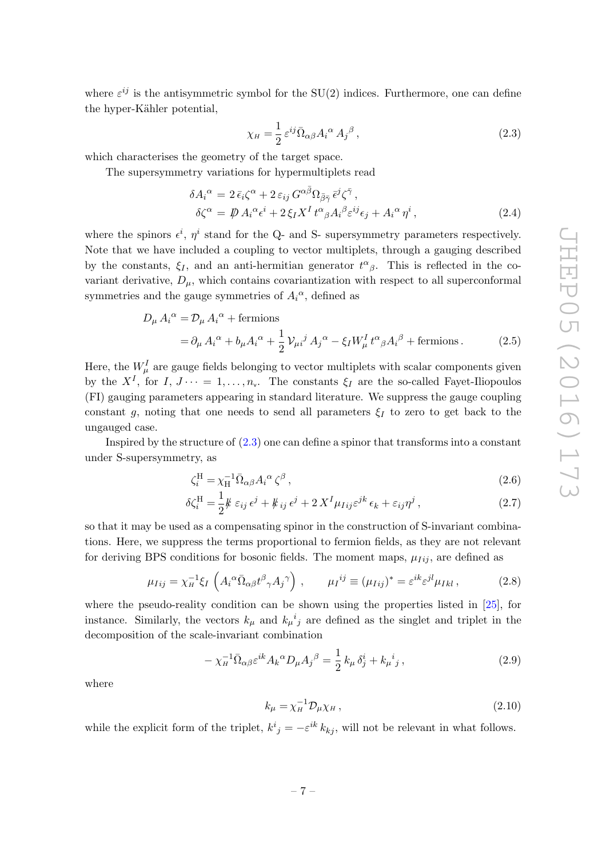where  $\varepsilon^{ij}$  is the antisymmetric symbol for the SU(2) indices. Furthermore, one can define the hyper-Kähler potential,

<span id="page-7-0"></span>
$$
\chi_{H} = \frac{1}{2} \varepsilon^{ij} \bar{\Omega}_{\alpha\beta} A_i^{\alpha} A_j^{\beta} , \qquad (2.3)
$$

which characterises the geometry of the target space.

The supersymmetry variations for hypermultiplets read

$$
\delta A_i^{\alpha} = 2 \bar{\epsilon}_i \zeta^{\alpha} + 2 \epsilon_{ij} G^{\alpha \bar{\beta}} \Omega_{\bar{\beta} \bar{\gamma}} \bar{\epsilon}^j \zeta^{\bar{\gamma}},
$$
  
\n
$$
\delta \zeta^{\alpha} = \mathcal{P} A_i^{\alpha} \epsilon^i + 2 \xi_I X^I t^{\alpha}{}_{\beta} A_i^{\beta} \epsilon^{ij} \epsilon_j + A_i^{\alpha} \eta^i,
$$
\n(2.4)

where the spinors  $\epsilon^i$ ,  $\eta^i$  stand for the Q- and S- supersymmetry parameters respectively. Note that we have included a coupling to vector multiplets, through a gauging described by the constants,  $\xi_I$ , and an anti-hermitian generator  $t^{\alpha}{}_{\beta}$ . This is reflected in the covariant derivative,  $D_{\mu}$ , which contains covariantization with respect to all superconformal symmetries and the gauge symmetries of  $A_i^{\alpha}$ , defined as

$$
D_{\mu} A_i^{\alpha} = \mathcal{D}_{\mu} A_i^{\alpha} + \text{fermions}
$$
  
=  $\partial_{\mu} A_i^{\alpha} + b_{\mu} A_i^{\alpha} + \frac{1}{2} \mathcal{V}_{\mu i}{}^{j} A_j^{\alpha} - \xi_I W_{\mu}^{I} t^{\alpha}{}_{\beta} A_i^{\beta} + \text{fermions}.$  (2.5)

Here, the  $W^I_\mu$  are gauge fields belonging to vector multiplets with scalar components given by the  $X^I$ , for  $I, J \cdots = 1, \ldots, n_{v}$ . The constants  $\xi_I$  are the so-called Fayet-Iliopoulos (FI) gauging parameters appearing in standard literature. We suppress the gauge coupling constant g, noting that one needs to send all parameters  $\xi_I$  to zero to get back to the ungauged case.

Inspired by the structure of [\(2.3\)](#page-7-0) one can define a spinor that transforms into a constant under S-supersymmetry, as

<span id="page-7-3"></span><span id="page-7-1"></span>
$$
\zeta_i^{\rm H} = \chi_{\rm H}^{-1} \bar{\Omega}_{\alpha\beta} A_i^{\alpha} \zeta^{\beta} , \qquad (2.6)
$$

$$
\delta \zeta_i^{\rm H} = \frac{1}{2} k \, \varepsilon_{ij} \, \epsilon^j + k \, \varepsilon_j \, \epsilon^j + 2 \, X^I \mu_{Iij} \varepsilon^{jk} \, \epsilon_k + \varepsilon_{ij} \eta^j \,, \tag{2.7}
$$

so that it may be used as a compensating spinor in the construction of S-invariant combinations. Here, we suppress the terms proportional to fermion fields, as they are not relevant for deriving BPS conditions for bosonic fields. The moment maps,  $\mu_{Iij}$ , are defined as

<span id="page-7-4"></span>
$$
\mu_{Iij} = \chi_{H}^{-1} \xi_{I} \left( A_{i}{}^{\alpha} \bar{\Omega}_{\alpha\beta} t^{\beta}{}_{\gamma} A_{j}{}^{\gamma} \right) , \qquad \mu_{I}^{ij} \equiv (\mu_{Iij})^{*} = \varepsilon^{ik} \varepsilon^{jl} \mu_{Ikl} , \qquad (2.8)
$$

where the pseudo-reality condition can be shown using the properties listed in [\[25\]](#page-31-13), for instance. Similarly, the vectors  $k_{\mu}$  and  $k_{\mu}^{i}{}_{j}$  are defined as the singlet and triplet in the decomposition of the scale-invariant combination

$$
-\chi_H^{-1} \bar{\Omega}_{\alpha\beta} \varepsilon^{ik} A_k^{\alpha} D_\mu A_j^{\beta} = \frac{1}{2} k_\mu \delta^i_j + k_\mu{}^i{}_j ,\qquad (2.9)
$$

where

<span id="page-7-2"></span>
$$
k_{\mu} = \chi_{H}^{-1} \mathcal{D}_{\mu} \chi_{H} , \qquad (2.10)
$$

while the explicit form of the triplet,  $k^i{}_j = -\varepsilon^{ik} k_{kj}$ , will not be relevant in what follows.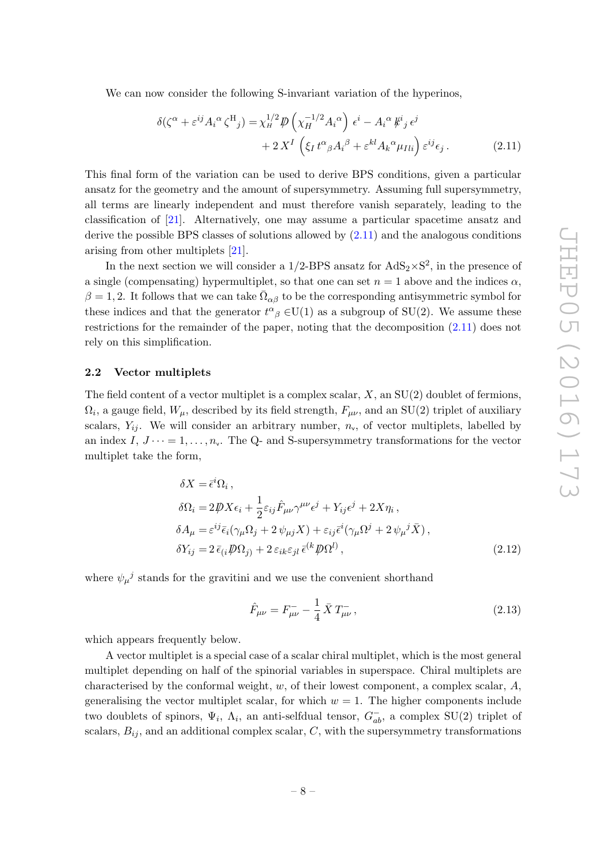We can now consider the following S-invariant variation of the hyperinos,

<span id="page-8-1"></span>
$$
\delta(\zeta^{\alpha} + \varepsilon^{ij} A_i^{\alpha} \zeta^{H}{}_j) = \chi_{H}^{1/2} \mathcal{P} \left( \chi_{H}^{-1/2} A_i^{\alpha} \right) \epsilon^{i} - A_i^{\alpha} \mathcal{K}^{i}{}_j \epsilon^{j} + 2 X^{I} \left( \xi_I t^{\alpha}{}_{\beta} A_i^{\beta} + \varepsilon^{kl} A_k^{\alpha} \mu_{Ili} \right) \varepsilon^{ij} \epsilon_j.
$$
 (2.11)

This final form of the variation can be used to derive BPS conditions, given a particular ansatz for the geometry and the amount of supersymmetry. Assuming full supersymmetry, all terms are linearly independent and must therefore vanish separately, leading to the classification of [\[21\]](#page-31-2). Alternatively, one may assume a particular spacetime ansatz and derive the possible BPS classes of solutions allowed by [\(2.11\)](#page-8-1) and the analogous conditions arising from other multiplets [\[21](#page-31-2)].

In the next section we will consider a  $1/2$ -BPS ansatz for  $AdS_2 \times S^2$ , in the presence of a single (compensating) hypermultiplet, so that one can set  $n = 1$  above and the indices  $\alpha$ ,  $\beta = 1, 2$ . It follows that we can take  $\bar{\Omega}_{\alpha\beta}$  to be the corresponding antisymmetric symbol for these indices and that the generator  $t^{\alpha}{}_{\beta} \in U(1)$  as a subgroup of  $SU(2)$ . We assume these restrictions for the remainder of the paper, noting that the decomposition [\(2.11\)](#page-8-1) does not rely on this simplification.

# <span id="page-8-0"></span>2.2 Vector multiplets

The field content of a vector multiplet is a complex scalar,  $X$ , an  $SU(2)$  doublet of fermions,  $\Omega_i$ , a gauge field,  $W_\mu$ , described by its field strength,  $F_{\mu\nu}$ , and an SU(2) triplet of auxiliary scalars,  $Y_{ij}$ . We will consider an arbitrary number,  $n_v$ , of vector multiplets, labelled by an index  $I, J \cdots = 1, \ldots, n_{v}$ . The Q- and S-supersymmetry transformations for the vector multiplet take the form,

$$
\delta X = \bar{\epsilon}^i \Omega_i ,
$$
  
\n
$$
\delta \Omega_i = 2 \not\!\! D X \epsilon_i + \frac{1}{2} \varepsilon_{ij} \hat{F}_{\mu\nu} \gamma^{\mu\nu} \epsilon^j + Y_{ij} \epsilon^j + 2 X \eta_i ,
$$
  
\n
$$
\delta A_\mu = \varepsilon^{ij} \bar{\epsilon}_i (\gamma_\mu \Omega_j + 2 \psi_{\mu j} X) + \varepsilon_{ij} \bar{\epsilon}^i (\gamma_\mu \Omega^j + 2 \psi_{\mu}^j \bar{X}) ,
$$
  
\n
$$
\delta Y_{ij} = 2 \bar{\epsilon}_{(i} \not\!\! D \Omega_j) + 2 \varepsilon_{ik} \varepsilon_{jl} \bar{\epsilon}^{(k} \not\!\! D \Omega^l) ,
$$
\n(2.12)

where  $\psi_{\mu}{}^{j}$  stands for the gravitini and we use the convenient shorthand

$$
\hat{F}_{\mu\nu} = F_{\mu\nu}^- - \frac{1}{4} \bar{X} T_{\mu\nu}^-, \tag{2.13}
$$

which appears frequently below.

A vector multiplet is a special case of a scalar chiral multiplet, which is the most general multiplet depending on half of the spinorial variables in superspace. Chiral multiplets are characterised by the conformal weight, w, of their lowest component, a complex scalar,  $A$ , generalising the vector multiplet scalar, for which  $w = 1$ . The higher components include two doublets of spinors,  $\Psi_i$ ,  $\Lambda_i$ , an anti-selfdual tensor,  $G_{ab}^-$ , a complex SU(2) triplet of scalars,  $B_{ij}$ , and an additional complex scalar,  $C$ , with the supersymmetry transformations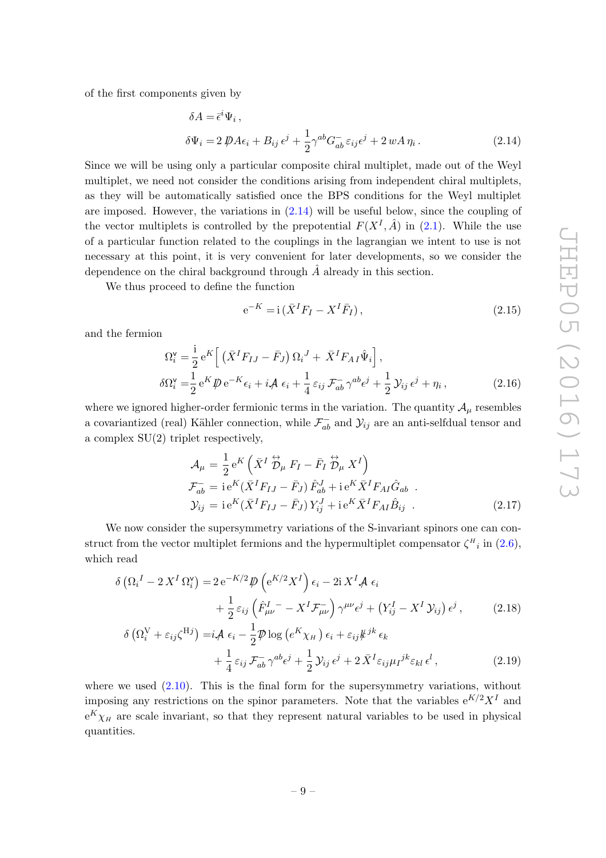of the first components given by

$$
\delta A = \bar{\epsilon}^i \Psi_i ,
$$
  
\n
$$
\delta \Psi_i = 2 \, \not\!\!D A \epsilon_i + B_{ij} \, \epsilon^j + \frac{1}{2} \gamma^{ab} G_{ab}^- \, \epsilon_{ij} \epsilon^j + 2 \, w A \, \eta_i .
$$
\n(2.14)

Since we will be using only a particular composite chiral multiplet, made out of the Weyl multiplet, we need not consider the conditions arising from independent chiral multiplets, as they will be automatically satisfied once the BPS conditions for the Weyl multiplet are imposed. However, the variations in  $(2.14)$  will be useful below, since the coupling of the vector multiplets is controlled by the prepotential  $F(X^I, \hat{A})$  in [\(2.1\)](#page-6-1). While the use of a particular function related to the couplings in the lagrangian we intent to use is not necessary at this point, it is very convenient for later developments, so we consider the dependence on the chiral background through  $A$  already in this section.

We thus proceed to define the function

<span id="page-9-0"></span>
$$
e^{-K} = i(\bar{X}^I F_I - X^I \bar{F}_I), \qquad (2.15)
$$

and the fermion

$$
\Omega_i^{\mathsf{v}} = \frac{\mathrm{i}}{2} e^K \left[ \left( \bar{X}^I F_{IJ} - \bar{F}_J \right) \Omega_i^J + \bar{X}^I F_{AI} \hat{\Psi}_i \right],
$$
  
\n
$$
\delta \Omega_i^{\mathsf{v}} = \frac{1}{2} e^K \not\!\!D e^{-K} \epsilon_i + i \not\!\!A \epsilon_i + \frac{1}{4} \epsilon_{ij} \not\!\!F_{ab}^- \gamma^{ab} \epsilon^j + \frac{1}{2} \mathcal{Y}_{ij} \epsilon^j + \eta_i, \tag{2.16}
$$

where we ignored higher-order fermionic terms in the variation. The quantity  $\mathcal{A}_{\mu}$  resembles a covariantized (real) Kähler connection, while  $\mathcal{F}^-_{ab}$  and  $\mathcal{Y}_{ij}$  are an anti-selfdual tensor and a complex SU(2) triplet respectively,

<span id="page-9-2"></span><span id="page-9-1"></span>
$$
\mathcal{A}_{\mu} = \frac{1}{2} e^{K} \left( \bar{X}^{I} \stackrel{\leftrightarrow}{\mathcal{D}}_{\mu} F_{I} - \bar{F}_{I} \stackrel{\leftrightarrow}{\mathcal{D}}_{\mu} X^{I} \right)
$$
\n
$$
\mathcal{F}_{ab}^{-} = i e^{K} (\bar{X}^{I} F_{IJ} - \bar{F}_{J}) \hat{F}_{ab}^{J} + i e^{K} \bar{X}^{I} F_{AI} \hat{G}_{ab} .
$$
\n
$$
\mathcal{Y}_{ij} = i e^{K} (\bar{X}^{I} F_{IJ} - \bar{F}_{J}) Y_{ij}^{J} + i e^{K} \bar{X}^{I} F_{AI} \hat{B}_{ij} .
$$
\n(2.17)

We now consider the supersymmetry variations of the S-invariant spinors one can construct from the vector multiplet fermions and the hypermultiplet compensator  $\zeta^H{}_i$  in  $(2.6)$ , which read

$$
\delta\left(\Omega_i^I - 2X^I\,\Omega_i^{\mathsf{v}}\right) = 2\,\mathrm{e}^{-K/2}\,\mathcal{D}\left(\mathrm{e}^{K/2}X^I\right)\,\epsilon_i - 2\,\mathrm{i}\,X^I\mathcal{A}\,\epsilon_i
$$
\n
$$
+ \frac{1}{2}\,\varepsilon_{ij}\left(\hat{F}_{\mu\nu}^I - X^I\mathcal{F}_{\mu\nu}^-\right)\gamma^{\mu\nu}\epsilon^j + \left(Y_{ij}^I - X^I\,\mathcal{Y}_{ij}\right)\epsilon^j\,,\tag{2.18}
$$
\n
$$
\delta\left(\mathrm{O}_{\mathsf{v}}^{\mathsf{v}}\right) \sim \epsilon^{\mathsf{H}^j}\,,\tag{2.19}
$$

$$
\delta\left(\Omega_i^{\text{V}} + \varepsilon_{ij}\zeta^{\text{H}j}\right) = i\mathcal{A} \epsilon_i - \frac{1}{2}\mathcal{P}\log\left(e^K\chi_H\right)\epsilon_i + \varepsilon_{ij}\not{k}^{jk}\epsilon_k
$$
  
+ 
$$
\frac{1}{4}\varepsilon_{ij}\mathcal{F}_{ab}^- \gamma^{ab}\epsilon^j + \frac{1}{2}\mathcal{Y}_{ij}\epsilon^j + 2\bar{X}^I\varepsilon_{ij}\mu_I^{jk}\varepsilon_{kl}\epsilon^l,
$$
(2.19)

where we used  $(2.10)$ . This is the final form for the supersymmetry variations, without imposing any restrictions on the spinor parameters. Note that the variables  $e^{K/2}X^{I}$  and  $e^{K}\chi_{H}$  are scale invariant, so that they represent natural variables to be used in physical quantities.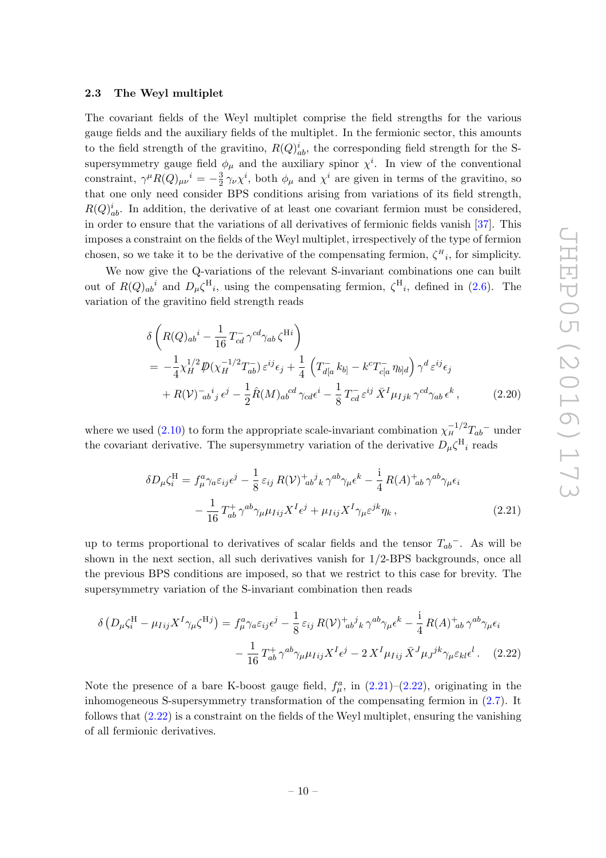### <span id="page-10-0"></span>2.3 The Weyl multiplet

The covariant fields of the Weyl multiplet comprise the field strengths for the various gauge fields and the auxiliary fields of the multiplet. In the fermionic sector, this amounts to the field strength of the gravitino,  $R(Q)_{ab}^i$ , the corresponding field strength for the Ssupersymmetry gauge field  $\phi_{\mu}$  and the auxiliary spinor  $\chi^{i}$ . In view of the conventional constraint,  $\gamma^{\mu}R(Q)_{\mu\nu}{}^{i} = -\frac{3}{2}$  $\frac{3}{2}\gamma_{\nu}\chi^{i}$ , both  $\phi_{\mu}$  and  $\chi^{i}$  are given in terms of the gravitino, so that one only need consider BPS conditions arising from variations of its field strength,  $R(Q)_{ab}^i$ . In addition, the derivative of at least one covariant fermion must be considered, in order to ensure that the variations of all derivatives of fermionic fields vanish [\[37\]](#page-31-14). This imposes a constraint on the fields of the Weyl multiplet, irrespectively of the type of fermion chosen, so we take it to be the derivative of the compensating fermion,  $\zeta^H_i$ , for simplicity.

We now give the Q-variations of the relevant S-invariant combinations one can built out of  $R(Q)_{ab}$ <sup>i</sup> and  $D_\mu \zeta^{\rm H}$ <sub>i</sub>, using the compensating fermion,  $\zeta^{\rm H}$ <sub>i</sub>, defined in [\(2.6\)](#page-7-1). The variation of the gravitino field strength reads

<span id="page-10-3"></span>
$$
\delta \left( R(Q)_{ab}{}^{i} - \frac{1}{16} T_{cd}^{-} \gamma^{cd} \gamma_{ab} \zeta^{Hi} \right)
$$
  
=  $-\frac{1}{4} \chi_{H}^{1/2} \mathcal{P}(\chi_{H}^{-1/2} T_{ab}^{-}) \varepsilon^{ij} \epsilon_{j} + \frac{1}{4} \left( T_{d[a}^{-} k_{b]} - k^{c} T_{c[a}^{-} \eta_{b]d} \right) \gamma^{d} \varepsilon^{ij} \epsilon_{j}$   
+  $R(V)_{ab}^{-i}{}_{j} \epsilon^{j} - \frac{1}{2} \hat{R}(M)_{ab}^{cd} \gamma_{cd} \epsilon^{i} - \frac{1}{8} T_{cd}^{-} \varepsilon^{ij} \bar{X}^{I} \mu_{Ijk} \gamma^{cd} \gamma_{ab} \epsilon^{k}$ , (2.20)

where we used [\(2.10\)](#page-7-2) to form the appropriate scale-invariant combination  $\chi_H^{-1/2} T_{ab}$  under the covariant derivative. The supersymmetry variation of the derivative  $D_{\mu} \zeta^{\mathrm{H}}{}_{i}$  reads

<span id="page-10-2"></span><span id="page-10-1"></span>
$$
\delta D_{\mu} \zeta_i^{\mathrm{H}} = f_{\mu}^a \gamma_a \varepsilon_{ij} \epsilon^j - \frac{1}{8} \varepsilon_{ij} R(\mathcal{V})^+_{\phantom{a}ab}{}^j{}_k \gamma^{ab} \gamma_{\mu} \epsilon^k - \frac{i}{4} R(A)^+_{\phantom{a}ab} \gamma^{ab} \gamma_{\mu} \epsilon_i
$$

$$
- \frac{1}{16} T_{ab}^+ \gamma^{ab} \gamma_{\mu} \mu_{Iij} X^I \epsilon^j + \mu_{Iij} X^I \gamma_{\mu} \varepsilon^{jk} \eta_k , \qquad (2.21)
$$

up to terms proportional to derivatives of scalar fields and the tensor  $T_{ab}$ <sup>-</sup>. As will be shown in the next section, all such derivatives vanish for 1/2-BPS backgrounds, once all the previous BPS conditions are imposed, so that we restrict to this case for brevity. The supersymmetry variation of the S-invariant combination then reads

$$
\delta \left( D_{\mu} \zeta_i^{\mathrm{H}} - \mu_{Iij} X^I \gamma_{\mu} \zeta^{\mathrm{H}j} \right) = f_{\mu}^a \gamma_a \varepsilon_{ij} \epsilon^j - \frac{1}{8} \varepsilon_{ij} R(\mathcal{V})^+_{\,ab}{}^j{}_k \gamma^{ab} \gamma_{\mu} \epsilon^k - \frac{i}{4} R(A)^+_{\,ab} \gamma^{ab} \gamma_{\mu} \epsilon_i
$$

$$
- \frac{1}{16} T_{ab}^+ \gamma^{ab} \gamma_{\mu} \mu_{Iij} X^I \epsilon^j - 2 X^I \mu_{Iij} \bar{X}^J \mu_J^{jk} \gamma_{\mu} \varepsilon_{kl} \epsilon^l. \tag{2.22}
$$

Note the presence of a bare K-boost gauge field,  $f_{\mu}^{a}$ , in  $(2.21)-(2.22)$  $(2.21)-(2.22)$ , originating in the inhomogeneous S-supersymmetry transformation of the compensating fermion in [\(2.7\)](#page-7-3). It follows that  $(2.22)$  is a constraint on the fields of the Weyl multiplet, ensuring the vanishing of all fermionic derivatives.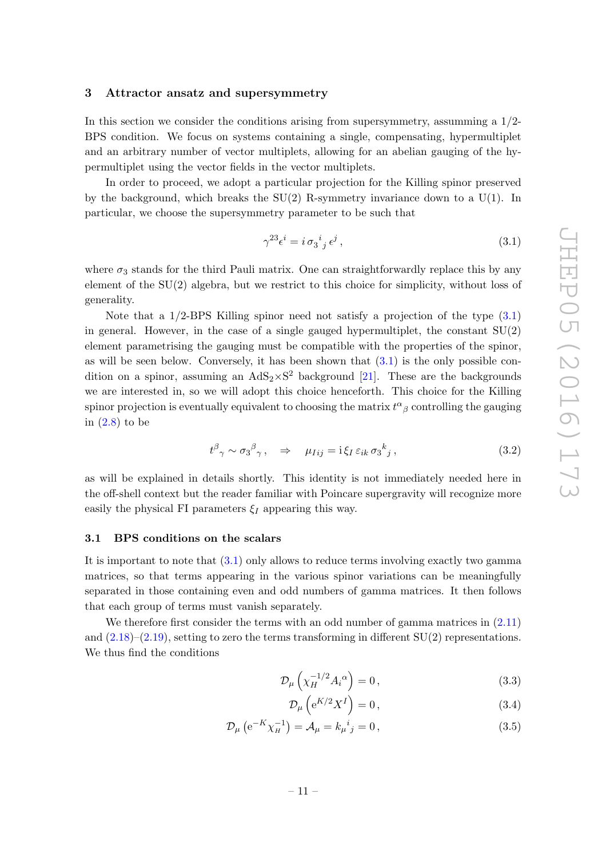# <span id="page-11-0"></span>3 Attractor ansatz and supersymmetry

In this section we consider the conditions arising from supersymmetry, assumming a  $1/2$ -BPS condition. We focus on systems containing a single, compensating, hypermultiplet and an arbitrary number of vector multiplets, allowing for an abelian gauging of the hypermultiplet using the vector fields in the vector multiplets.

In order to proceed, we adopt a particular projection for the Killing spinor preserved by the background, which breaks the  $SU(2)$  R-symmetry invariance down to a  $U(1)$ . In particular, we choose the supersymmetry parameter to be such that

<span id="page-11-2"></span>
$$
\gamma^{23}\epsilon^i = i \sigma_3{}^i{}_j \epsilon^j \,,\tag{3.1}
$$

where  $\sigma_3$  stands for the third Pauli matrix. One can straightforwardly replace this by any element of the SU(2) algebra, but we restrict to this choice for simplicity, without loss of generality.

Note that a  $1/2$ -BPS Killing spinor need not satisfy a projection of the type  $(3.1)$ in general. However, in the case of a single gauged hypermultiplet, the constant  $SU(2)$ element parametrising the gauging must be compatible with the properties of the spinor, as will be seen below. Conversely, it has been shown that  $(3.1)$  is the only possible condition on a spinor, assuming an  $AdS_2 \times S^2$  background [\[21\]](#page-31-2). These are the backgrounds we are interested in, so we will adopt this choice henceforth. This choice for the Killing spinor projection is eventually equivalent to choosing the matrix  $t^{\alpha}{}_{\beta}$  controlling the gauging in [\(2.8\)](#page-7-4) to be

$$
t^{\beta}{}_{\gamma} \sim \sigma_3{}^{\beta}{}_{\gamma}, \quad \Rightarrow \quad \mu_{Iij} = \mathrm{i} \xi_I \, \varepsilon_{ik} \, \sigma_3{}^k{}_j \,, \tag{3.2}
$$

as will be explained in details shortly. This identity is not immediately needed here in the off-shell context but the reader familiar with Poincare supergravity will recognize more easily the physical FI parameters  $\xi_I$  appearing this way.

### <span id="page-11-1"></span>3.1 BPS conditions on the scalars

It is important to note that  $(3.1)$  only allows to reduce terms involving exactly two gamma matrices, so that terms appearing in the various spinor variations can be meaningfully separated in those containing even and odd numbers of gamma matrices. It then follows that each group of terms must vanish separately.

We therefore first consider the terms with an odd number of gamma matrices in  $(2.11)$ and  $(2.18)$ – $(2.19)$ , setting to zero the terms transforming in different SU(2) representations. We thus find the conditions

$$
\mathcal{D}_{\mu}\left(\chi_H^{-1/2}A_i^{\alpha}\right) = 0\,,\tag{3.3}
$$

<span id="page-11-4"></span><span id="page-11-3"></span>
$$
\mathcal{D}_{\mu}\left(e^{K/2}X^{I}\right) = 0\,,\tag{3.4}
$$

$$
\mathcal{D}_{\mu} \left( e^{-K} \chi_{H}^{-1} \right) = \mathcal{A}_{\mu} = k_{\mu}{}^{i}{}_{j} = 0, \qquad (3.5)
$$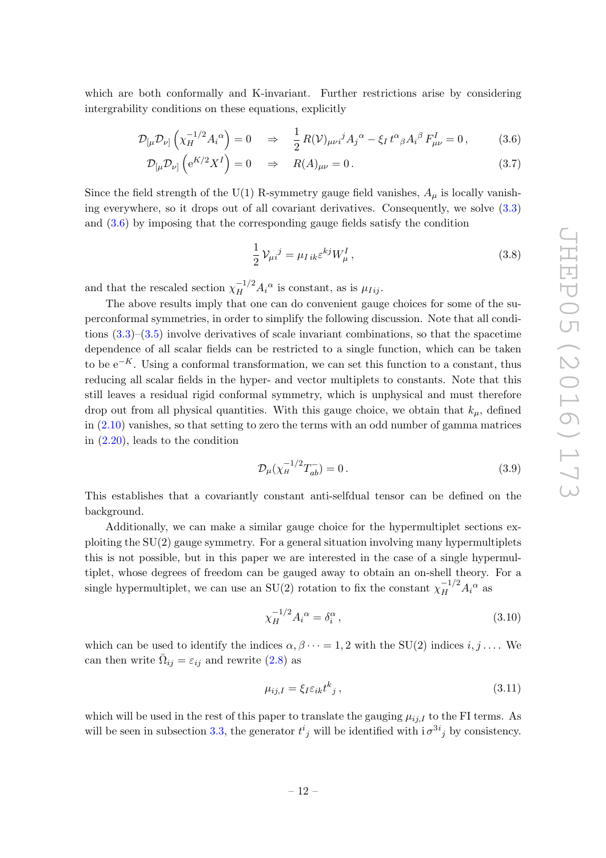which are both conformally and K-invariant. Further restrictions arise by considering intergrability conditions on these equations, explicitly

$$
\mathcal{D}_{\left[\mu\right.}\mathcal{D}_{\nu\left]\right.}\left(\chi_{H}^{-1/2}A_{i}^{\alpha}\right)=0 \quad \Rightarrow \quad \frac{1}{2}R(\mathcal{V})_{\mu\nu i}{}^{j}A_{j}^{\alpha}-\xi_{I}t^{\alpha}{}_{\beta}A_{i}^{\beta}F_{\mu\nu}^{I}=0\,,\tag{3.6}
$$

$$
\mathcal{D}_{\left[\mu\right]}\mathcal{D}_{\nu}\left(e^{K/2}X^{I}\right) = 0 \quad \Rightarrow \quad R(A)_{\mu\nu} = 0. \tag{3.7}
$$

Since the field strength of the U(1) R-symmetry gauge field vanishes,  $A_{\mu}$  is locally vanishing everywhere, so it drops out of all covariant derivatives. Consequently, we solve [\(3.3\)](#page-11-3) and [\(3.6\)](#page-12-0) by imposing that the corresponding gauge fields satisfy the condition

<span id="page-12-1"></span><span id="page-12-0"></span>
$$
\frac{1}{2}V_{\mu i}{}^{j} = \mu_{I\,ik}\varepsilon^{kj}W_{\mu}^{I}\,,\tag{3.8}
$$

and that the rescaled section  $\chi_H^{-1/2} A_i^{\alpha}$  is constant, as is  $\mu_{Iij}$ .

The above results imply that one can do convenient gauge choices for some of the superconformal symmetries, in order to simplify the following discussion. Note that all conditions  $(3.3)$ – $(3.5)$  involve derivatives of scale invariant combinations, so that the spacetime dependence of all scalar fields can be restricted to a single function, which can be taken to be  $e^{-K}$ . Using a conformal transformation, we can set this function to a constant, thus reducing all scalar fields in the hyper- and vector multiplets to constants. Note that this still leaves a residual rigid conformal symmetry, which is unphysical and must therefore drop out from all physical quantities. With this gauge choice, we obtain that  $k_{\mu}$ , defined in [\(2.10\)](#page-7-2) vanishes, so that setting to zero the terms with an odd number of gamma matrices in [\(2.20\)](#page-10-3), leads to the condition

$$
\mathcal{D}_{\mu}(\chi_{H}^{-1/2}T_{ab}^{-})=0.
$$
\n(3.9)

This establishes that a covariantly constant anti-selfdual tensor can be defined on the background.

Additionally, we can make a similar gauge choice for the hypermultiplet sections exploiting the SU(2) gauge symmetry. For a general situation involving many hypermultiplets this is not possible, but in this paper we are interested in the case of a single hypermultiplet, whose degrees of freedom can be gauged away to obtain an on-shell theory. For a single hypermultiplet, we can use an SU(2) rotation to fix the constant  $\chi_H^{-1/2} A_i^{\alpha}$  as

$$
\chi_H^{-1/2} A_i^{\alpha} = \delta_i^{\alpha} , \qquad (3.10)
$$

which can be used to identify the indices  $\alpha, \beta \cdots = 1, 2$  with the SU(2) indices  $i, j \ldots$ . We can then write  $\overline{\Omega}_{ij} = \varepsilon_{ij}$  and rewrite [\(2.8\)](#page-7-4) as

<span id="page-12-2"></span>
$$
\mu_{ij,I} = \xi_I \varepsilon_{ik} t^k{}_j \,, \tag{3.11}
$$

which will be used in the rest of this paper to translate the gauging  $\mu_{ii,I}$  to the FI terms. As will be seen in subsection [3.3,](#page-13-1) the generator  $t^i_j$  will be identified with  $i \sigma^{3i}{}_{j}$  by consistency.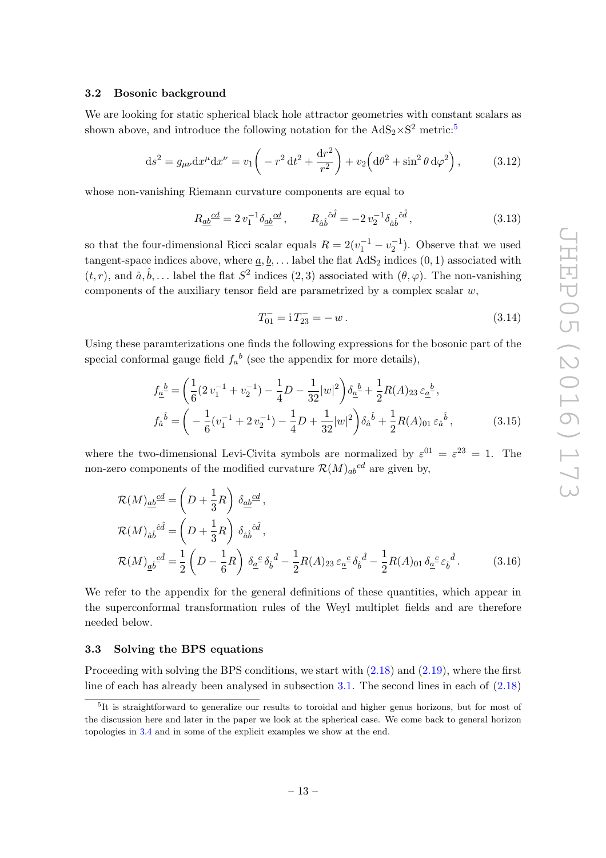### <span id="page-13-0"></span>3.2 Bosonic background

We are looking for static spherical black hole attractor geometries with constant scalars as shown above, and introduce the following notation for the  $AdS_2 \times S^2$  metric:<sup>[5](#page-13-2)</sup>

$$
ds^{2} = g_{\mu\nu} dx^{\mu} dx^{\nu} = v_{1} \left( -r^{2} dt^{2} + \frac{dr^{2}}{r^{2}} \right) + v_{2} \left( d\theta^{2} + \sin^{2} \theta d\varphi^{2} \right), \qquad (3.12)
$$

whose non-vanishing Riemann curvature components are equal to

$$
R_{\underline{a}\underline{b}}{}^{\underline{c}\underline{d}} = 2 v_1^{-1} \delta_{\underline{a}\underline{b}}{}^{\underline{c}\underline{d}} , \qquad R_{\hat{a}\hat{b}}{}^{\hat{c}\hat{d}} = -2 v_2^{-1} \delta_{\hat{a}\hat{b}}{}^{\hat{c}\hat{d}} , \qquad (3.13)
$$

so that the four-dimensional Ricci scalar equals  $R = 2(v_1^{-1} - v_2^{-1})$ . Observe that we used tangent-space indices above, where  $\underline{a}, \underline{b}, \ldots$  label the flat  $AdS_2$  indices  $(0, 1)$  associated with  $(t, r)$ , and  $\hat{a}, \hat{b}, \dots$  label the flat  $S^2$  indices  $(2, 3)$  associated with  $(\theta, \varphi)$ . The non-vanishing components of the auxiliary tensor field are parametrized by a complex scalar  $w$ ,

$$
T_{01}^- = 1 T_{23}^- = -w \,. \tag{3.14}
$$

Using these paramterizations one finds the following expressions for the bosonic part of the special conformal gauge field  $f_a^b$  (see the appendix for more details),

$$
f_{\underline{a}}{}^{\underline{b}} = \left(\frac{1}{6}(2v_1^{-1} + v_2^{-1}) - \frac{1}{4}D - \frac{1}{32}|w|^2\right)\delta_{\underline{a}}{}^{\underline{b}} + \frac{1}{2}R(A)_{23}\varepsilon_{\underline{a}}{}^{\underline{b}},
$$
  

$$
f_{\hat{a}}{}^{\hat{b}} = \left(-\frac{1}{6}(v_1^{-1} + 2v_2^{-1}) - \frac{1}{4}D + \frac{1}{32}|w|^2\right)\delta_{\hat{a}}{}^{\hat{b}} + \frac{1}{2}R(A)_{01}\varepsilon_{\hat{a}}{}^{\hat{b}},
$$
(3.15)

where the two-dimensional Levi-Civita symbols are normalized by  $\varepsilon^{01} = \varepsilon^{23} = 1$ . The non-zero components of the modified curvature  $\mathcal{R}(M)_{ab}{}^{cd}$  are given by,

$$
\mathcal{R}(M)_{\underline{ab}}^{\underline{cd}} = \left(D + \frac{1}{3}R\right) \delta_{\underline{ab}}^{\underline{cd}},
$$
\n
$$
\mathcal{R}(M)_{\hat{ab}}^{\hat{c}\hat{d}} = \left(D + \frac{1}{3}R\right) \delta_{\hat{ab}}^{\hat{c}\hat{d}},
$$
\n
$$
\mathcal{R}(M)_{\underline{a}\hat{b}}^{\hat{c}\hat{d}} = \frac{1}{2}\left(D - \frac{1}{6}R\right) \delta_{\underline{a}}^{\hat{c}} \delta_{\hat{b}}^{\hat{d}} - \frac{1}{2}R(A)_{23} \varepsilon_{\underline{a}}^{\hat{c}} \delta_{\hat{b}}^{\hat{d}} - \frac{1}{2}R(A)_{01} \delta_{\underline{a}}^{\hat{c}} \varepsilon_{\hat{b}}^{\hat{d}}.
$$
\n(3.16)

We refer to the appendix for the general definitions of these quantities, which appear in the superconformal transformation rules of the Weyl multiplet fields and are therefore needed below.

### <span id="page-13-1"></span>3.3 Solving the BPS equations

Proceeding with solving the BPS conditions, we start with  $(2.18)$  and  $(2.19)$ , where the first line of each has already been analysed in subsection  $3.1$ . The second lines in each of  $(2.18)$ 

<span id="page-13-2"></span><sup>&</sup>lt;sup>5</sup>It is straightforward to generalize our results to toroidal and higher genus horizons, but for most of the discussion here and later in the paper we look at the spherical case. We come back to general horizon topologies in [3.4](#page-15-0) and in some of the explicit examples we show at the end.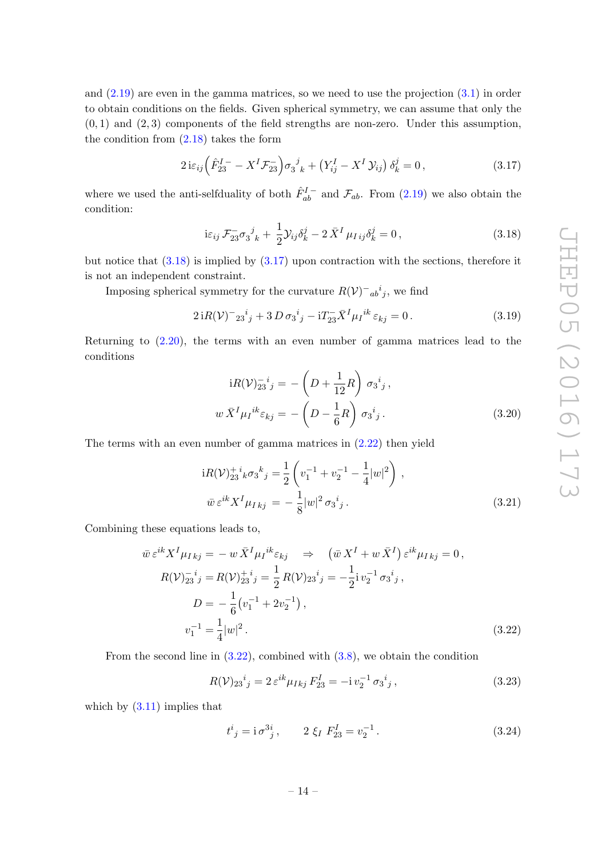and [\(2.19\)](#page-9-2) are even in the gamma matrices, so we need to use the projection [\(3.1\)](#page-11-2) in order to obtain conditions on the fields. Given spherical symmetry, we can assume that only the  $(0, 1)$  and  $(2, 3)$  components of the field strengths are non-zero. Under this assumption, the condition from [\(2.18\)](#page-9-1) takes the form

$$
2i\varepsilon_{ij}\left(\hat{F}_{23}^{I} - X^{I}\mathcal{F}_{23}^{-}\right)\sigma_{3}^{j}{}_{k} + \left(Y_{ij}^{I} - X^{I}\mathcal{Y}_{ij}\right)\delta_{k}^{j} = 0, \qquad (3.17)
$$

where we used the anti-selfduality of both  $\hat{F}_{ab}^{I}$  and  $\mathcal{F}_{ab}$ . From [\(2.19\)](#page-9-2) we also obtain the condition:

<span id="page-14-1"></span><span id="page-14-0"></span>
$$
i\varepsilon_{ij}\mathcal{F}_{23}^{-}\sigma_{3}^{j}{}_{k} + \frac{1}{2}\mathcal{Y}_{ij}\delta_{k}^{j} - 2\bar{X}^{I}\mu_{Iij}\delta_{k}^{j} = 0, \qquad (3.18)
$$

but notice that  $(3.18)$  is implied by  $(3.17)$  upon contraction with the sections, therefore it is not an independent constraint.

Imposing spherical symmetry for the curvature  $R(\mathcal{V})_{ab}^{\dagger i}$ , we find

$$
2iR(\mathcal{V})^{-}2i^{i}_{j} + 3D\sigma_{3}^{i}{}_{j} - iT_{23}^{-}\bar{X}^{I}\mu_{I}^{ik}\varepsilon_{kj} = 0.
$$
 (3.19)

Returning to [\(2.20\)](#page-10-3), the terms with an even number of gamma matrices lead to the conditions

$$
iR(\mathcal{V})_{23}^{-i}{}_{j} = -\left(D + \frac{1}{12}R\right)\sigma_3^{i}{}_{j},
$$
  

$$
w\bar{X}^{I}\mu_{I}{}^{ik}\varepsilon_{kj} = -\left(D - \frac{1}{6}R\right)\sigma_3^{i}{}_{j}.
$$
 (3.20)

The terms with an even number of gamma matrices in [\(2.22\)](#page-10-2) then yield

$$
iR(\mathcal{V})_{23}^{+i}{}_{k}\sigma_{3}{}^{k}{}_{j} = \frac{1}{2} \left( v_{1}^{-1} + v_{2}^{-1} - \frac{1}{4}|w|^{2} \right) ,
$$
  

$$
\bar{w} \,\varepsilon^{ik} X^{I} \mu_{I\,kj} = -\frac{1}{8}|w|^{2} \sigma_{3}{}^{i}{}_{j} .
$$
 (3.21)

Combining these equations leads to,

$$
\bar{w} \,\varepsilon^{ik} X^I \mu_{Ikj} = -w \,\bar{X}^I \mu_I^{ik} \varepsilon_{kj} \quad \Rightarrow \quad (\bar{w} \, X^I + w \,\bar{X}^I) \,\varepsilon^{ik} \mu_{Ikj} = 0,
$$
\n
$$
R(\mathcal{V})^{-i}_{23}{}^{i}{}_{j} = R(\mathcal{V})^{+i}_{23}{}^{i}{}_{j} = \frac{1}{2} R(\mathcal{V})^{i}_{23}{}^{i}{}_{j} = -\frac{1}{2} i v^{-1}_{2} \sigma_{3}{}^{i}{}_{j},
$$
\n
$$
D = -\frac{1}{6} (v^{-1}_{1} + 2v^{-1}_{2}),
$$
\n
$$
v^{-1}_{1} = \frac{1}{4} |w|^{2}. \tag{3.22}
$$

From the second line in  $(3.22)$ , combined with  $(3.8)$ , we obtain the condition

$$
R(\mathcal{V})_{23}{}^{i}{}_{j} = 2 \,\varepsilon^{ik} \mu_{Ikj} \, F_{23}^{I} = -i \, v_{2}^{-1} \, \sigma_{3}{}^{i}{}_{j} \,, \tag{3.23}
$$

which by  $(3.11)$  implies that

<span id="page-14-3"></span><span id="page-14-2"></span>
$$
t^i{}_j = \mathbf{i}\,\sigma^{3i}{}_j, \qquad 2\xi_I\,F^I_{23} = v_2^{-1}.\tag{3.24}
$$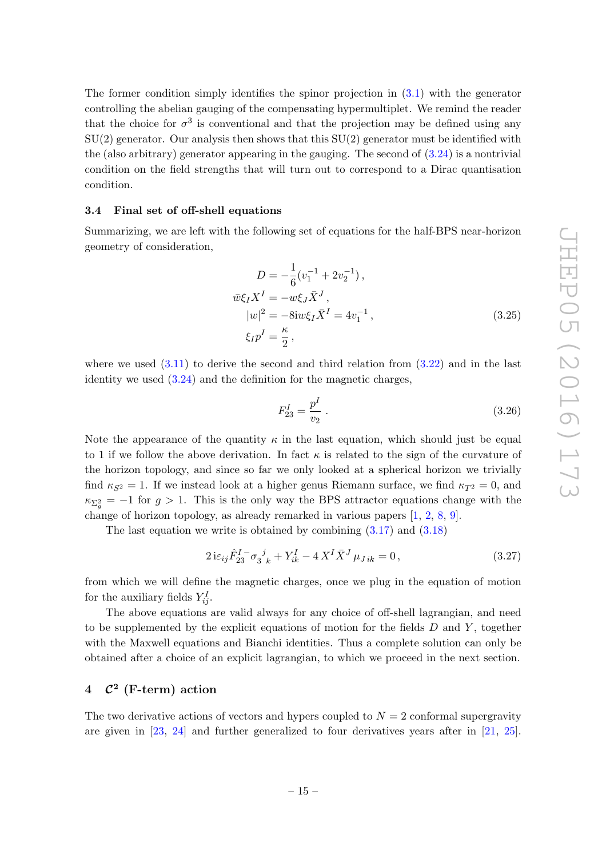The former condition simply identifies the spinor projection in  $(3.1)$  with the generator controlling the abelian gauging of the compensating hypermultiplet. We remind the reader that the choice for  $\sigma^3$  is conventional and that the projection may be defined using any  $SU(2)$  generator. Our analysis then shows that this  $SU(2)$  generator must be identified with the (also arbitrary) generator appearing in the gauging. The second of  $(3.24)$  is a nontrivial condition on the field strengths that will turn out to correspond to a Dirac quantisation condition.

### <span id="page-15-0"></span>3.4 Final set of off-shell equations

Summarizing, we are left with the following set of equations for the half-BPS near-horizon geometry of consideration,

$$
D = -\frac{1}{6}(v_1^{-1} + 2v_2^{-1}),
$$
  
\n
$$
\bar{w}\xi_I X^I = -w\xi_J \bar{X}^J,
$$
  
\n
$$
|w|^2 = -8iw\xi_I \bar{X}^I = 4v_1^{-1},
$$
  
\n
$$
\xi_I p^I = \frac{\kappa}{2},
$$
\n(3.25)

where we used  $(3.11)$  to derive the second and third relation from  $(3.22)$  and in the last identity we used [\(3.24\)](#page-14-3) and the definition for the magnetic charges,

<span id="page-15-3"></span><span id="page-15-2"></span>
$$
F_{23}^I = \frac{p^I}{v_2} \tag{3.26}
$$

Note the appearance of the quantity  $\kappa$  in the last equation, which should just be equal to 1 if we follow the above derivation. In fact  $\kappa$  is related to the sign of the curvature of the horizon topology, and since so far we only looked at a spherical horizon we trivially find  $\kappa_{S^2} = 1$ . If we instead look at a higher genus Riemann surface, we find  $\kappa_{T^2} = 0$ , and  $\kappa_{\Sigma_g^2} = -1$  for  $g > 1$ . This is the only way the BPS attractor equations change with the change of horizon topology, as already remarked in various papers [\[1,](#page-30-0) [2](#page-30-1), [8](#page-30-14), [9](#page-30-4)].

The last equation we write is obtained by combining [\(3.17\)](#page-14-1) and [\(3.18\)](#page-14-0)

$$
2i\varepsilon_{ij}\hat{F}_{23}^{I} - \sigma_3^j{}_k + Y_{ik}^I - 4X^I\bar{X}^J\mu_{Jik} = 0, \qquad (3.27)
$$

from which we will define the magnetic charges, once we plug in the equation of motion for the auxiliary fields  $Y_{ij}^I$ .

The above equations are valid always for any choice of off-shell lagrangian, and need to be supplemented by the explicit equations of motion for the fields  $D$  and  $Y$ , together with the Maxwell equations and Bianchi identities. Thus a complete solution can only be obtained after a choice of an explicit lagrangian, to which we proceed in the next section.

# <span id="page-15-1"></span>4  $C^2$  (F-term) action

The two derivative actions of vectors and hypers coupled to  $N = 2$  conformal supergravity are given in [\[23](#page-31-3), [24](#page-31-15)] and further generalized to four derivatives years after in [\[21,](#page-31-2) [25\]](#page-31-13).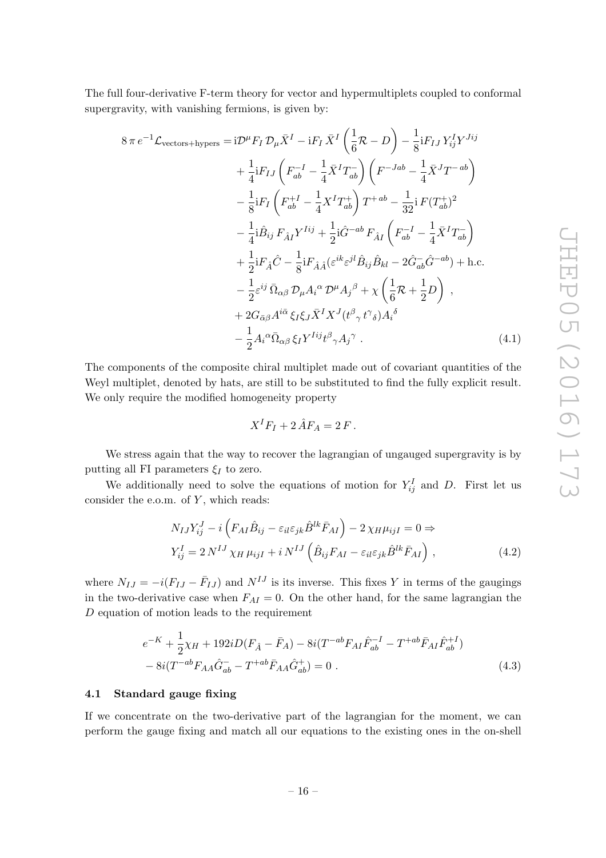The full four-derivative F-term theory for vector and hypermultiplets coupled to conformal supergravity, with vanishing fermions, is given by:

$$
8 \pi e^{-1} \mathcal{L}_{\text{vectors+hypers}} = i \mathcal{D}^{\mu} F_I \mathcal{D}_{\mu} \bar{X}^{I} - i F_I \bar{X}^{I} \left( \frac{1}{6} \mathcal{R} - D \right) - \frac{1}{8} i F_{IJ} Y_{ij}^{I} Y^{Jij} + \frac{1}{4} i F_{IJ} \left( F_{ab}^{-I} - \frac{1}{4} \bar{X}^{I} T_{ab}^{-} \right) \left( F^{-Jab} - \frac{1}{4} \bar{X}^{J} T^{-ab} \right) - \frac{1}{8} i F_I \left( F_{ab}^{+I} - \frac{1}{4} X^{I} T_{ab}^{+} \right) T^{+ab} - \frac{1}{32} i F (T_{ab}^{+})^{2} - \frac{1}{4} i \hat{B}_{ij} F_{\hat{A}I} Y^{Iij} + \frac{1}{2} i \hat{G}^{-ab} F_{\hat{A}I} \left( F_{ab}^{-I} - \frac{1}{4} \bar{X}^{I} T_{ab}^{-} \right) + \frac{1}{2} i F_{\hat{A}} \hat{C} - \frac{1}{8} i F_{\hat{A}A} (\varepsilon^{ik} \varepsilon^{jl} \hat{B}_{ij} \hat{B}_{kl} - 2 \hat{G}_{ab}^{-} \hat{G}^{-ab}) + \text{h.c.} - \frac{1}{2} \varepsilon^{ij} \bar{\Omega}_{\alpha\beta} \mathcal{D}_{\mu} A_{i}^{\alpha} \mathcal{D}^{\mu} A_{j}^{\beta} + \chi \left( \frac{1}{6} \mathcal{R} + \frac{1}{2} D \right) , + 2 G_{\bar{\alpha}\beta} A^{i\bar{\alpha}} \xi_{I} \xi_{J} \bar{X}^{I} X^{J} (t^{\beta} {}_{\gamma} t^{\gamma} {}_{\delta}) A_{i}^{\delta} - \frac{1}{2} A_{i}^{\alpha} \bar{\Omega}_{\alpha\beta} \xi_{I} Y^{Iij} t^{\beta} {}_{\gamma} A_{j}^{\gamma} .
$$
(4.1)

The components of the composite chiral multiplet made out of covariant quantities of the Weyl multiplet, denoted by hats, are still to be substituted to find the fully explicit result. We only require the modified homogeneity property

<span id="page-16-3"></span><span id="page-16-2"></span><span id="page-16-1"></span>
$$
X^I F_I + 2 \hat{A} F_A = 2 F.
$$

We stress again that the way to recover the lagrangian of ungauged supergravity is by putting all FI parameters  $\xi_I$  to zero.

We additionally need to solve the equations of motion for  $Y_{ij}^I$  and D. First let us consider the e.o.m. of  $Y$ , which reads:

$$
N_{IJ}Y_{ij}^J - i\left(F_{AI}\hat{B}_{ij} - \varepsilon_{il}\varepsilon_{jk}\hat{B}^{lk}\bar{F}_{AI}\right) - 2\chi_H\mu_{ijI} = 0 \Rightarrow
$$
  
\n
$$
Y_{ij}^I = 2N^{IJ}\chi_H\mu_{ijI} + iN^{IJ}\left(\hat{B}_{ij}F_{AI} - \varepsilon_{il}\varepsilon_{jk}\hat{B}^{lk}\bar{F}_{AI}\right),
$$
\n(4.2)

where  $N_{IJ} = -i(F_{IJ} - \bar{F}_{IJ})$  and  $N^{IJ}$  is its inverse. This fixes Y in terms of the gaugings in the two-derivative case when  $F_{AI} = 0$ . On the other hand, for the same lagrangian the D equation of motion leads to the requirement

$$
e^{-K} + \frac{1}{2}\chi_H + 192iD(F_{\hat{A}} - \bar{F}_A) - 8i(T^{-ab}F_{AI}\hat{F}_{ab}^{-I} - T^{+ab}\bar{F}_{AI}\hat{F}_{ab}^{+I})
$$
  

$$
- 8i(T^{-ab}F_{AA}\hat{G}_{ab}^{-} - T^{+ab}\bar{F}_{AA}\hat{G}_{ab}^{+}) = 0.
$$
 (4.3)

### <span id="page-16-0"></span>4.1 Standard gauge fixing

If we concentrate on the two-derivative part of the lagrangian for the moment, we can perform the gauge fixing and match all our equations to the existing ones in the on-shell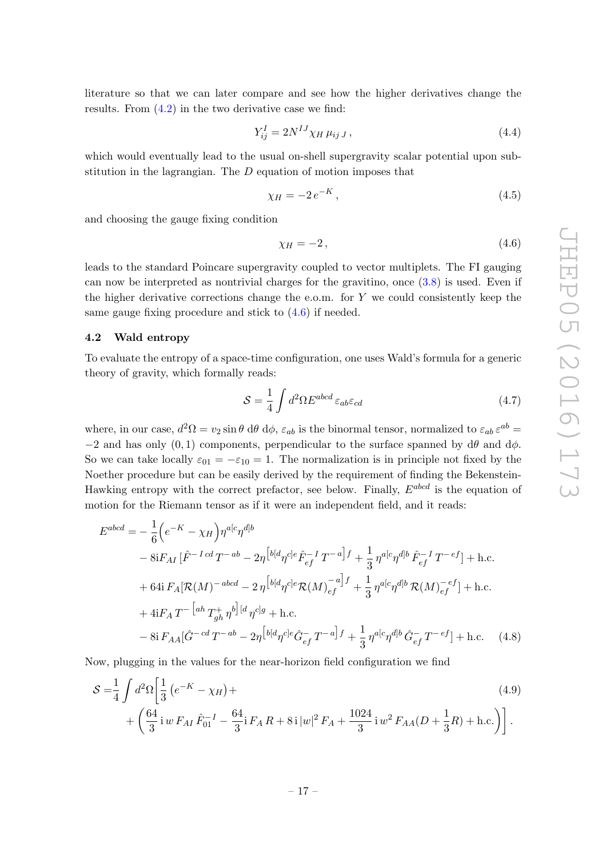literature so that we can later compare and see how the higher derivatives change the results. From [\(4.2\)](#page-16-1) in the two derivative case we find:

$$
Y_{ij}^I = 2N^{IJ} \chi_H \mu_{ij} J \,, \tag{4.4}
$$

which would eventually lead to the usual on-shell supergravity scalar potential upon substitution in the lagrangian. The D equation of motion imposes that

$$
\chi_H = -2e^{-K},\tag{4.5}
$$

and choosing the gauge fixing condition

<span id="page-17-1"></span>
$$
\chi_H = -2, \tag{4.6}
$$

leads to the standard Poincare supergravity coupled to vector multiplets. The FI gauging can now be interpreted as nontrivial charges for the gravitino, once [\(3.8\)](#page-12-1) is used. Even if the higher derivative corrections change the e.o.m. for  $Y$  we could consistently keep the same gauge fixing procedure and stick to [\(4.6\)](#page-17-1) if needed.

## <span id="page-17-0"></span>4.2 Wald entropy

To evaluate the entropy of a space-time configuration, one uses Wald's formula for a generic theory of gravity, which formally reads:

<span id="page-17-2"></span>
$$
S = \frac{1}{4} \int d^2 \Omega E^{abcd} \varepsilon_{ab} \varepsilon_{cd} \tag{4.7}
$$

where, in our case,  $d^2\Omega = v_2 \sin \theta \ d\theta \ d\phi$ ,  $\varepsilon_{ab}$  is the binormal tensor, normalized to  $\varepsilon_{ab} \varepsilon^{ab} =$  $-2$  and has only  $(0, 1)$  components, perpendicular to the surface spanned by  $d\theta$  and  $d\phi$ . So we can take locally  $\varepsilon_{01} = -\varepsilon_{10} = 1$ . The normalization is in principle not fixed by the Noether procedure but can be easily derived by the requirement of finding the Bekenstein-Hawking entropy with the correct prefactor, see below. Finally,  $E^{abcd}$  is the equation of motion for the Riemann tensor as if it were an independent field, and it reads:

$$
E^{abcd} = -\frac{1}{6} \Big( e^{-K} - \chi_H \Big) \eta^{a[c} \eta^{d]b} - 8i F_{AI} \left[ \hat{F}^{-I cd} T^{-ab} - 2\eta \Big[ {}^{b[d} \eta^{c]e} \hat{F}_{ef}^{-I} T^{-a} \Big] f + \frac{1}{3} \eta^{a[c} \eta^{d]b} \hat{F}_{ef}^{-I} T^{-ef} \Big] + \text{h.c.} + 64i F_A \big[ \mathcal{R}(M)^{-abcd} - 2 \eta \Big[ {}^{b[d} \eta^{c]e} \mathcal{R}(M)_{ef}^{-a} \Big] f + \frac{1}{3} \eta^{a[c} \eta^{d]b} \mathcal{R}(M)_{ef}^{-ef} \Big] + \text{h.c.} + 4i F_A T^{-\Big[ah} T^+_{gh} \eta^{b}\Big] \Big[ {}^{d} \eta^{c]g} + \text{h.c.} - 8i F_{AA} \big[ \hat{G}^{-cd} T^{-ab} - 2\eta \Big[ {}^{b[d} \eta^{c]e} \hat{G}_{ef}^{-} T^{-a} \Big] f + \frac{1}{3} \eta^{a[c} \eta^{d]b} \hat{G}_{ef}^{-} T^{-ef} \Big] + \text{h.c.} \tag{4.8}
$$

Now, plugging in the values for the near-horizon field configuration we find

$$
S = \frac{1}{4} \int d^2 \Omega \left[ \frac{1}{3} \left( e^{-K} - \chi_H \right) + \left( \frac{64}{3} i w F_{AI} \hat{F}_{01}^{-1} - \frac{64}{3} i F_A R + 8i |w|^2 F_A + \frac{1024}{3} i w^2 F_{AA} (D + \frac{1}{3} R) + \text{h.c.} \right) \right].
$$
\n(4.9)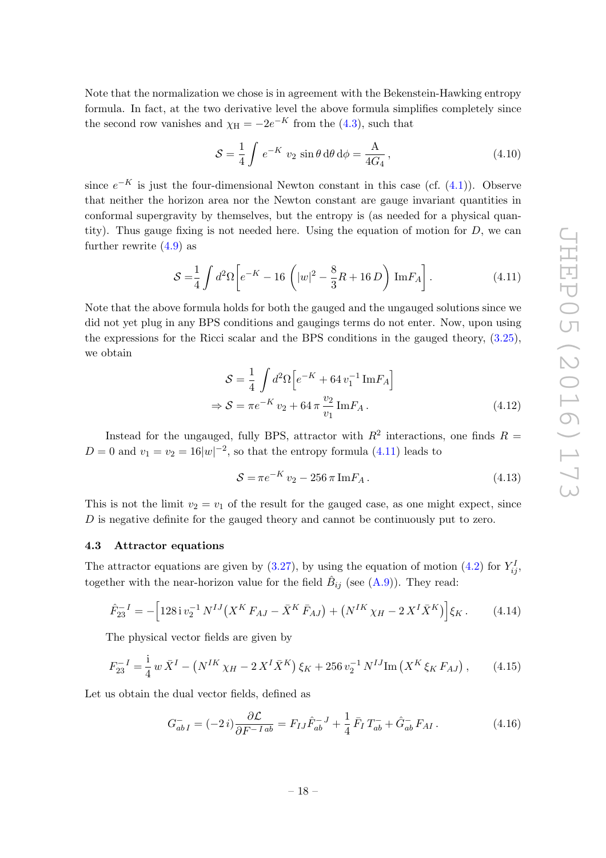Note that the normalization we chose is in agreement with the Bekenstein-Hawking entropy formula. In fact, at the two derivative level the above formula simplifies completely since the second row vanishes and  $\chi_{\rm H} = -2e^{-K}$  from the [\(4.3\)](#page-16-2), such that

$$
S = \frac{1}{4} \int e^{-K} v_2 \sin \theta \, d\theta \, d\phi = \frac{A}{4G_4}, \qquad (4.10)
$$

since  $e^{-K}$  is just the four-dimensional Newton constant in this case (cf.  $(4.1)$ ). Observe that neither the horizon area nor the Newton constant are gauge invariant quantities in conformal supergravity by themselves, but the entropy is (as needed for a physical quantity). Thus gauge fixing is not needed here. Using the equation of motion for  $D$ , we can further rewrite  $(4.9)$  as

$$
S = \frac{1}{4} \int d^2 \Omega \left[ e^{-K} - 16 \left( |w|^2 - \frac{8}{3} R + 16 D \right) \text{Im} F_A \right]. \tag{4.11}
$$

Note that the above formula holds for both the gauged and the ungauged solutions since we did not yet plug in any BPS conditions and gaugings terms do not enter. Now, upon using the expressions for the Ricci scalar and the BPS conditions in the gauged theory, [\(3.25\)](#page-15-2), we obtain

<span id="page-18-1"></span>
$$
S = \frac{1}{4} \int d^2 \Omega \left[ e^{-K} + 64 v_1^{-1} \text{Im} F_A \right]
$$
  
\n
$$
\Rightarrow S = \pi e^{-K} v_2 + 64 \pi \frac{v_2}{v_1} \text{Im} F_A .
$$
\n(4.12)

Instead for the ungauged, fully BPS, attractor with  $R^2$  interactions, one finds  $R =$  $D = 0$  and  $v_1 = v_2 = 16|w|^{-2}$ , so that the entropy formula [\(4.11\)](#page-18-1) leads to

<span id="page-18-2"></span>
$$
S = \pi e^{-K} v_2 - 256 \pi \operatorname{Im} F_A. \tag{4.13}
$$

This is not the limit  $v_2 = v_1$  of the result for the gauged case, as one might expect, since D is negative definite for the gauged theory and cannot be continuously put to zero.

### <span id="page-18-0"></span>4.3 Attractor equations

The attractor equations are given by  $(3.27)$ , by using the equation of motion  $(4.2)$  for  $Y_{ij}^I$ , together with the near-horizon value for the field  $\hat{B}_{ij}$  (see [\(A.9\)](#page-29-0)). They read:

$$
\hat{F}_{23}^{-I} = -\left[128 \, \mathrm{i} \, v_2^{-1} \, N^{IJ} \left(X^K F_{AJ} - \bar{X}^K \, \bar{F}_{AJ}\right) + \left(N^{IK} \, \chi_H - 2 \, X^I \, \bar{X}^K\right)\right] \xi_K \,. \tag{4.14}
$$

The physical vector fields are given by

$$
F_{23}^{-I} = \frac{1}{4} w \bar{X}^I - \left( N^{IK} \chi_H - 2 X^I \bar{X}^K \right) \xi_K + 256 v_2^{-1} N^{IJ} \text{Im} \left( X^K \xi_K F_{AJ} \right), \tag{4.15}
$$

Let us obtain the dual vector fields, defined as

$$
G_{abI}^- = (-2i)\frac{\partial \mathcal{L}}{\partial F^{-Iab}} = F_{IJ}\hat{F}_{ab}^{-J} + \frac{1}{4}\bar{F}_I T_{ab}^- + \hat{G}_{ab}^- F_{AI} \,. \tag{4.16}
$$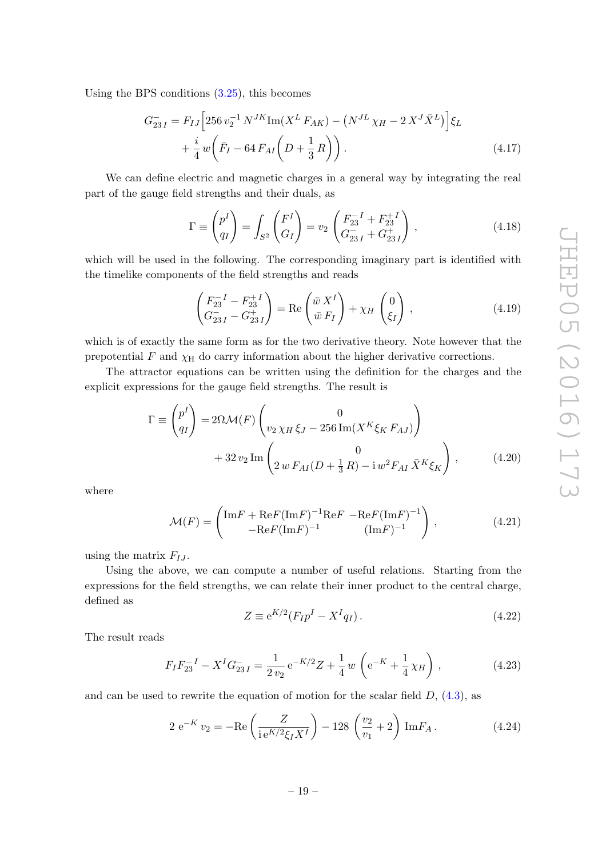Using the BPS conditions [\(3.25\)](#page-15-2), this becomes

$$
G_{23\,I}^{-} = F_{IJ} \Big[ 256 \, v_2^{-1} \, N^{JK} \text{Im}(X^L \, F_{AK}) - \left( N^{J} \, \chi_H - 2 \, X^J \bar{X}^L \right) \Big] \xi_L
$$
  
 
$$
+ \frac{i}{4} \, w \bigg( \bar{F}_I - 64 \, F_{AI} \bigg( D + \frac{1}{3} \, R \bigg) \bigg) \,. \tag{4.17}
$$

We can define electric and magnetic charges in a general way by integrating the real part of the gauge field strengths and their duals, as

$$
\Gamma \equiv \begin{pmatrix} p^I \\ q_I \end{pmatrix} = \int_{S^2} \begin{pmatrix} F^I \\ G_I \end{pmatrix} = v_2 \begin{pmatrix} F_{23}^{-1} + F_{23}^{+1} \\ G_{23I}^{-} + G_{23I}^{+} \end{pmatrix},
$$
\n(4.18)

which will be used in the following. The corresponding imaginary part is identified with the timelike components of the field strengths and reads

$$
\begin{pmatrix} F_{23}^{-I} - F_{23}^{+I} \\ G_{23 I}^{-} - G_{23 I}^{+} \end{pmatrix} = \text{Re}\begin{pmatrix} \bar{w} X^{I} \\ \bar{w} F_{I} \end{pmatrix} + \chi_{H} \begin{pmatrix} 0 \\ \xi_{I} \end{pmatrix},
$$
\n(4.19)

which is of exactly the same form as for the two derivative theory. Note however that the prepotential  $F$  and  $\chi$ <sup>H</sup> do carry information about the higher derivative corrections.

The attractor equations can be written using the definition for the charges and the explicit expressions for the gauge field strengths. The result is

$$
\Gamma \equiv \begin{pmatrix} p^I \\ q_I \end{pmatrix} = 2\Omega \mathcal{M}(F) \begin{pmatrix} 0 \\ v_2 \chi_H \xi_J - 256 \operatorname{Im}(X^K \xi_K F_{AJ}) \end{pmatrix} + 32 v_2 \operatorname{Im} \begin{pmatrix} 0 \\ 2 w F_{AI}(D + \frac{1}{3} R) - i w^2 F_{AI} \bar{X}^K \xi_K \end{pmatrix},
$$
(4.20)

where

$$
\mathcal{M}(F) = \begin{pmatrix} \text{Im}F + \text{Re}F(\text{Im}F)^{-1}\text{Re}F - \text{Re}F(\text{Im}F)^{-1} \\ -\text{Re}F(\text{Im}F)^{-1} \end{pmatrix},
$$
(4.21)

using the matrix  $F_{IJ}$ .

Using the above, we can compute a number of useful relations. Starting from the expressions for the field strengths, we can relate their inner product to the central charge, defined as

<span id="page-19-1"></span>
$$
Z \equiv e^{K/2} (F_I p^I - X^I q_I). \tag{4.22}
$$

The result reads

$$
F_I F_{23}^{-I} - X^I G_{23 I}^{-} = \frac{1}{2 v_2} e^{-K/2} Z + \frac{1}{4} w \left( e^{-K} + \frac{1}{4} \chi_H \right), \qquad (4.23)
$$

and can be used to rewrite the equation of motion for the scalar field  $D$ ,  $(4.3)$ , as

<span id="page-19-0"></span>
$$
2 e^{-K} v_2 = -Re\left(\frac{Z}{ie^{K/2}\xi_I X^I}\right) - 128 \left(\frac{v_2}{v_1} + 2\right) ImF_A.
$$
 (4.24)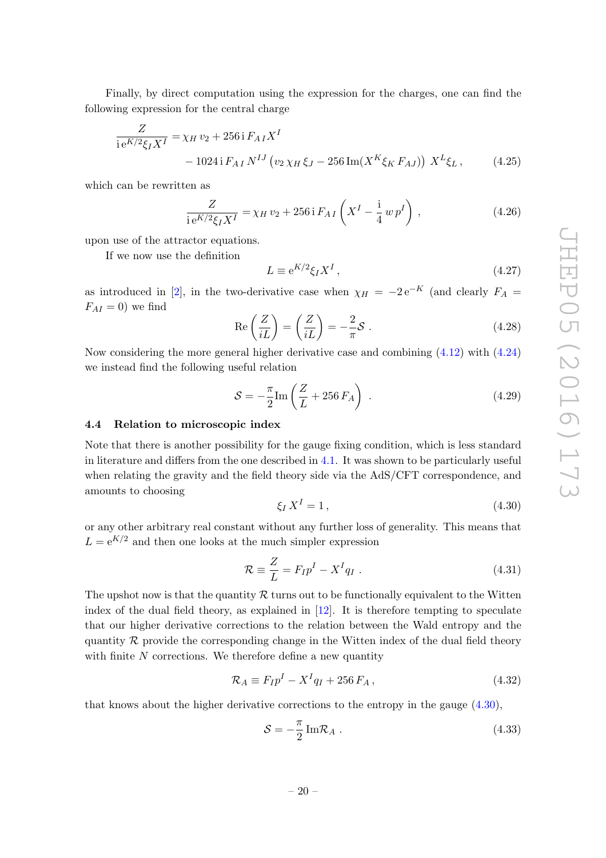Finally, by direct computation using the expression for the charges, one can find the following expression for the central charge

$$
\frac{Z}{i e^{K/2} \xi_I X^I} = \chi_{H} v_2 + 256 i F_{A I} X^I
$$
  
- 1024 i  $F_{A I} N^{IJ} (v_2 \chi_H \xi_J - 256 \text{Im}(X^K \xi_K F_{A J})) X^L \xi_L,$  (4.25)

which can be rewritten as

$$
\frac{Z}{ie^{K/2}\xi_I X^I} = \chi_H v_2 + 256 \,\mathrm{i}\, F_{AI} \left( X^I - \frac{\mathrm{i}}{4} \, w \, p^I \right) \,,\tag{4.26}
$$

upon use of the attractor equations.

If we now use the definition

$$
L \equiv e^{K/2} \xi_I X^I \,, \tag{4.27}
$$

as introduced in [\[2](#page-30-1)], in the two-derivative case when  $\chi_H = -2 e^{-K}$  (and clearly  $F_A =$  $F_{AI} = 0$ ) we find

$$
\operatorname{Re}\left(\frac{Z}{iL}\right) = \left(\frac{Z}{iL}\right) = -\frac{2}{\pi}\mathcal{S} \ . \tag{4.28}
$$

Now considering the more general higher derivative case and combining [\(4.12\)](#page-18-2) with [\(4.24\)](#page-19-0) we instead find the following useful relation

$$
S = -\frac{\pi}{2} \text{Im} \left( \frac{Z}{L} + 256 F_A \right) \tag{4.29}
$$

### <span id="page-20-0"></span>4.4 Relation to microscopic index

Note that there is another possibility for the gauge fixing condition, which is less standard in literature and differs from the one described in [4.1.](#page-16-0) It was shown to be particularly useful when relating the gravity and the field theory side via the AdS/CFT correspondence, and amounts to choosing

<span id="page-20-1"></span>
$$
\xi_I X^I = 1, \tag{4.30}
$$

or any other arbitrary real constant without any further loss of generality. This means that  $L = e^{K/2}$  and then one looks at the much simpler expression

$$
\mathcal{R} \equiv \frac{Z}{L} = F_I p^I - X^I q_I \tag{4.31}
$$

The upshot now is that the quantity  $R$  turns out to be functionally equivalent to the Witten index of the dual field theory, as explained in  $[12]$ . It is therefore tempting to speculate that our higher derivative corrections to the relation between the Wald entropy and the quantity  $\mathcal R$  provide the corresponding change in the Witten index of the dual field theory with finite  $N$  corrections. We therefore define a new quantity

$$
\mathcal{R}_A \equiv F_I p^I - X^I q_I + 256 F_A, \qquad (4.32)
$$

that knows about the higher derivative corrections to the entropy in the gauge [\(4.30\)](#page-20-1),

$$
S = -\frac{\pi}{2} \operatorname{Im} \mathcal{R}_A \ . \tag{4.33}
$$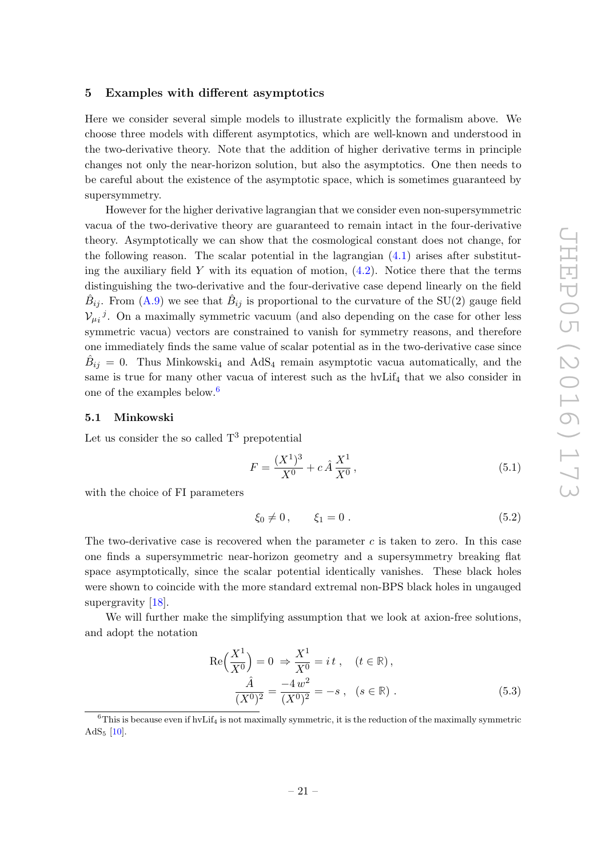## <span id="page-21-0"></span>5 Examples with different asymptotics

Here we consider several simple models to illustrate explicitly the formalism above. We choose three models with different asymptotics, which are well-known and understood in the two-derivative theory. Note that the addition of higher derivative terms in principle changes not only the near-horizon solution, but also the asymptotics. One then needs to be careful about the existence of the asymptotic space, which is sometimes guaranteed by supersymmetry.

However for the higher derivative lagrangian that we consider even non-supersymmetric vacua of the two-derivative theory are guaranteed to remain intact in the four-derivative theory. Asymptotically we can show that the cosmological constant does not change, for the following reason. The scalar potential in the lagrangian  $(4.1)$  arises after substituting the auxiliary field Y with its equation of motion,  $(4.2)$ . Notice there that the terms distinguishing the two-derivative and the four-derivative case depend linearly on the field  $\hat{B}_{ij}$ . From [\(A.9\)](#page-29-0) we see that  $\hat{B}_{ij}$  is proportional to the curvature of the SU(2) gauge field  $V_{\mu i}{}^{j}$ . On a maximally symmetric vacuum (and also depending on the case for other less symmetric vacua) vectors are constrained to vanish for symmetry reasons, and therefore one immediately finds the same value of scalar potential as in the two-derivative case since  $\hat{B}_{ij} = 0$ . Thus Minkowski<sub>4</sub> and AdS<sub>4</sub> remain asymptotic vacua automatically, and the same is true for many other vacua of interest such as the  $hvlif<sub>4</sub>$  that we also consider in one of the examples below.[6](#page-21-2)

### <span id="page-21-1"></span>5.1 Minkowski

Let us consider the so called  $T^3$  prepotential

$$
F = \frac{(X^1)^3}{X^0} + c\,\hat{A}\,\frac{X^1}{X^0}\,,\tag{5.1}
$$

with the choice of FI parameters

$$
\xi_0 \neq 0, \qquad \xi_1 = 0. \tag{5.2}
$$

The two-derivative case is recovered when the parameter  $c$  is taken to zero. In this case one finds a supersymmetric near-horizon geometry and a supersymmetry breaking flat space asymptotically, since the scalar potential identically vanishes. These black holes were shown to coincide with the more standard extremal non-BPS black holes in ungauged supergravity [\[18](#page-30-13)].

We will further make the simplifying assumption that we look at axion-free solutions, and adopt the notation

$$
\operatorname{Re}\left(\frac{X^1}{X^0}\right) = 0 \implies \frac{X^1}{X^0} = it \,, \quad (t \in \mathbb{R}),
$$
  

$$
\frac{\hat{A}}{(X^0)^2} = \frac{-4w^2}{(X^0)^2} = -s \,, \quad (s \in \mathbb{R}) \,.
$$
 (5.3)

<span id="page-21-2"></span> $6$ This is because even if hvLif<sub>4</sub> is not maximally symmetric, it is the reduction of the maximally symmetric  $AdS_5$  [\[10](#page-30-5)].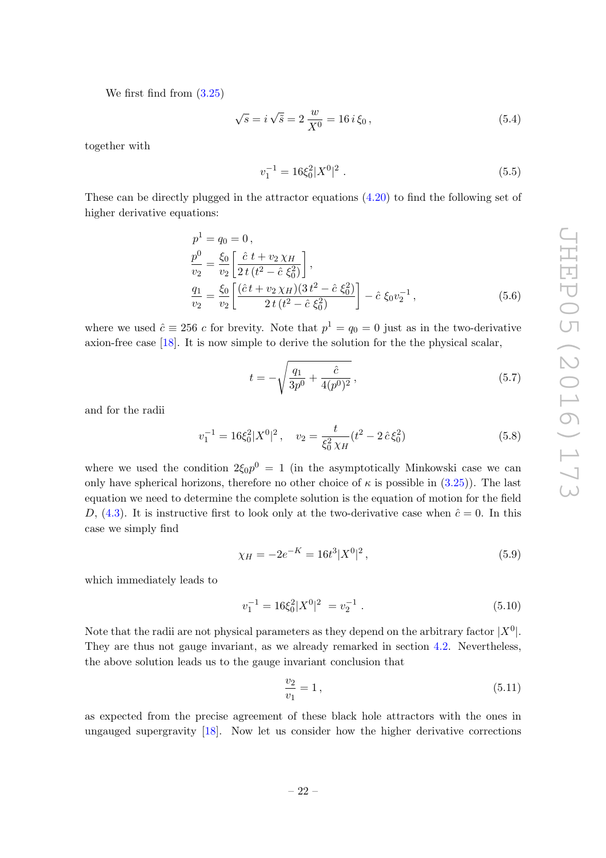We first find from [\(3.25\)](#page-15-2)

$$
\sqrt{s} = i\sqrt{\tilde{s}} = 2\frac{w}{X^0} = 16 i \xi_0, \qquad (5.4)
$$

together with

$$
v_1^{-1} = 16\xi_0^2 |X^0|^2 \tag{5.5}
$$

These can be directly plugged in the attractor equations [\(4.20\)](#page-19-1) to find the following set of higher derivative equations:

$$
p^{1} = q_{0} = 0,
$$
  
\n
$$
\frac{p^{0}}{v_{2}} = \frac{\xi_{0}}{v_{2}} \left[ \frac{\hat{c} t + v_{2} \chi_{H}}{2 t (t^{2} - \hat{c} \xi_{0}^{2})} \right],
$$
  
\n
$$
\frac{q_{1}}{v_{2}} = \frac{\xi_{0}}{v_{2}} \left[ \frac{(\hat{c} t + v_{2} \chi_{H})(3 t^{2} - \hat{c} \xi_{0}^{2})}{2 t (t^{2} - \hat{c} \xi_{0}^{2})} \right] - \hat{c} \xi_{0} v_{2}^{-1},
$$
\n(5.6)

where we used  $\hat{c} \equiv 256 \, c$  for brevity. Note that  $p^1 = q_0 = 0$  just as in the two-derivative axion-free case [\[18\]](#page-30-13). It is now simple to derive the solution for the the physical scalar,

$$
t = -\sqrt{\frac{q_1}{3p^0} + \frac{\hat{c}}{4(p^0)^2}},
$$
\n(5.7)

and for the radii

$$
v_1^{-1} = 16\xi_0^2 |X^0|^2 \,, \quad v_2 = \frac{t}{\xi_0^2 \chi_H} (t^2 - 2\,\hat{c}\,\xi_0^2) \tag{5.8}
$$

where we used the condition  $2\xi_0 p^0 = 1$  (in the asymptotically Minkowski case we can only have spherical horizons, therefore no other choice of  $\kappa$  is possible in [\(3.25\)](#page-15-2)). The last equation we need to determine the complete solution is the equation of motion for the field D, [\(4.3\)](#page-16-2). It is instructive first to look only at the two-derivative case when  $\hat{c} = 0$ . In this case we simply find

$$
\chi_H = -2e^{-K} = 16t^3 |X^0|^2 \,, \tag{5.9}
$$

which immediately leads to

$$
v_1^{-1} = 16\xi_0^2 |X^0|^2 = v_2^{-1} . \tag{5.10}
$$

Note that the radii are not physical parameters as they depend on the arbitrary factor  $|X^0|$ . They are thus not gauge invariant, as we already remarked in section [4.2.](#page-17-0) Nevertheless, the above solution leads us to the gauge invariant conclusion that

$$
\frac{v_2}{v_1} = 1\,,\tag{5.11}
$$

as expected from the precise agreement of these black hole attractors with the ones in ungauged supergravity [\[18](#page-30-13)]. Now let us consider how the higher derivative corrections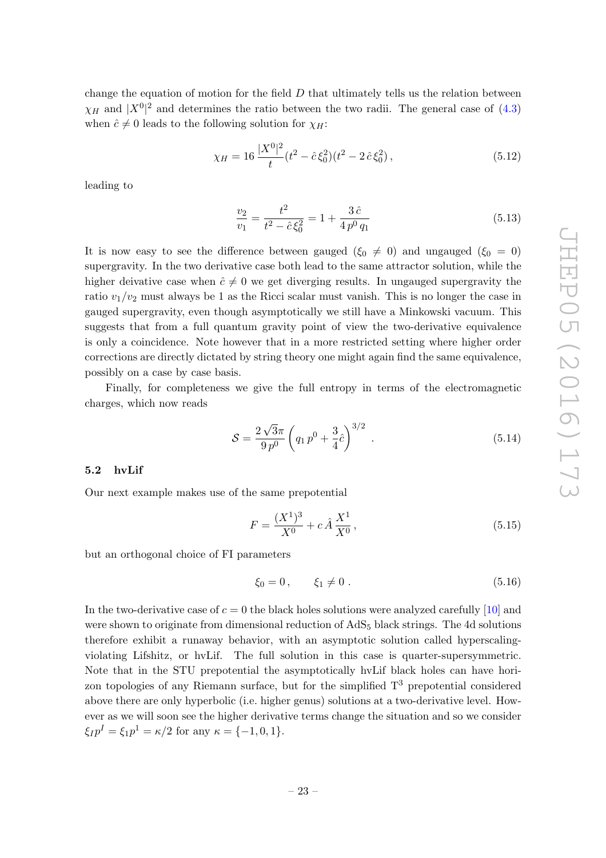change the equation of motion for the field  $D$  that ultimately tells us the relation between  $\chi_H$  and  $|X^0|^2$  and determines the ratio between the two radii. The general case of [\(4.3\)](#page-16-2) when  $\hat{c} \neq 0$  leads to the following solution for  $\chi_H$ :

$$
\chi_H = 16 \frac{|X^0|^2}{t} (t^2 - \hat{c}\,\xi_0^2)(t^2 - 2\,\hat{c}\,\xi_0^2) \,,\tag{5.12}
$$

leading to

$$
\frac{v_2}{v_1} = \frac{t^2}{t^2 - \hat{c}\xi_0^2} = 1 + \frac{3\,\hat{c}}{4\,p^0\,q_1} \tag{5.13}
$$

It is now easy to see the difference between gauged ( $\xi_0 \neq 0$ ) and ungauged ( $\xi_0 = 0$ ) supergravity. In the two derivative case both lead to the same attractor solution, while the higher deivative case when  $\hat{c} \neq 0$  we get diverging results. In ungauged supergravity the ratio  $v_1/v_2$  must always be 1 as the Ricci scalar must vanish. This is no longer the case in gauged supergravity, even though asymptotically we still have a Minkowski vacuum. This suggests that from a full quantum gravity point of view the two-derivative equivalence is only a coincidence. Note however that in a more restricted setting where higher order corrections are directly dictated by string theory one might again find the same equivalence, possibly on a case by case basis.

Finally, for completeness we give the full entropy in terms of the electromagnetic charges, which now reads

$$
S = \frac{2\sqrt{3}\pi}{9p^0} \left( q_1 p^0 + \frac{3}{4}\hat{c} \right)^{3/2} . \tag{5.14}
$$

### <span id="page-23-0"></span>5.2 hvLif

Our next example makes use of the same prepotential

$$
F = \frac{(X^1)^3}{X^0} + c\,\hat{A}\,\frac{X^1}{X^0}\,,\tag{5.15}
$$

but an orthogonal choice of FI parameters

$$
\xi_0 = 0, \qquad \xi_1 \neq 0. \tag{5.16}
$$

In the two-derivative case of  $c = 0$  the black holes solutions were analyzed carefully [\[10\]](#page-30-5) and were shown to originate from dimensional reduction of  $AdS_5$  black strings. The 4d solutions therefore exhibit a runaway behavior, with an asymptotic solution called hyperscalingviolating Lifshitz, or hvLif. The full solution in this case is quarter-supersymmetric. Note that in the STU prepotential the asymptotically hvLif black holes can have horizon topologies of any Riemann surface, but for the simplified  $T<sup>3</sup>$  prepotential considered above there are only hyperbolic (i.e. higher genus) solutions at a two-derivative level. However as we will soon see the higher derivative terms change the situation and so we consider  $\xi_{IP}{}^{I} = \xi_{1}{}^{I}{}^{I} = \kappa/2$  for any  $\kappa = \{-1, 0, 1\}.$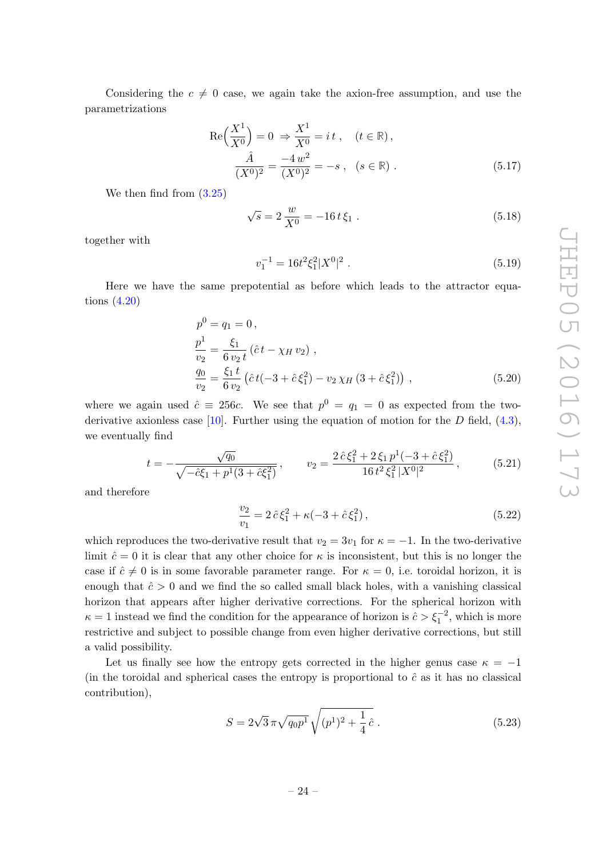Considering the  $c \neq 0$  case, we again take the axion-free assumption, and use the parametrizations

$$
\operatorname{Re}\left(\frac{X^1}{X^0}\right) = 0 \implies \frac{X^1}{X^0} = it \,, \quad (t \in \mathbb{R}),
$$
  

$$
\frac{\hat{A}}{(X^0)^2} = \frac{-4w^2}{(X^0)^2} = -s \,, \quad (s \in \mathbb{R}) \,.
$$
 (5.17)

We then find from [\(3.25\)](#page-15-2)

$$
\sqrt{s} = 2\frac{w}{X^0} = -16t\xi_1.
$$
\n(5.18)

together with

$$
v_1^{-1} = 16t^2 \xi_1^2 |X^0|^2 \tag{5.19}
$$

Here we have the same prepotential as before which leads to the attractor equations [\(4.20\)](#page-19-1)

$$
p^{0} = q_{1} = 0,
$$
  
\n
$$
\frac{p^{1}}{v_{2}} = \frac{\xi_{1}}{6 v_{2} t} (\hat{c} t - \chi_{H} v_{2}),
$$
  
\n
$$
\frac{q_{0}}{v_{2}} = \frac{\xi_{1} t}{6 v_{2}} (\hat{c} t (-3 + \hat{c} \xi_{1}^{2}) - v_{2} \chi_{H} (3 + \hat{c} \xi_{1}^{2})),
$$
\n(5.20)

where we again used  $\hat{c} \equiv 256c$ . We see that  $p^0 = q_1 = 0$  as expected from the two-derivative axionless case [\[10\]](#page-30-5). Further using the equation of motion for the D field,  $(4.3)$ , we eventually find

$$
t = -\frac{\sqrt{q_0}}{\sqrt{-\hat{c}\xi_1 + p^1(3 + \hat{c}\xi_1^2)}}, \qquad v_2 = \frac{2\,\hat{c}\,\xi_1^2 + 2\,\xi_1\,p^1(-3 + \hat{c}\,\xi_1^2)}{16\,t^2\,\xi_1^2\,|X^0|^2}, \qquad (5.21)
$$

and therefore

$$
\frac{v_2}{v_1} = 2\,\hat{c}\,\xi_1^2 + \kappa(-3 + \hat{c}\,\xi_1^2)\,,\tag{5.22}
$$

which reproduces the two-derivative result that  $v_2 = 3v_1$  for  $\kappa = -1$ . In the two-derivative limit  $\hat{c}=0$  it is clear that any other choice for  $\kappa$  is inconsistent, but this is no longer the case if  $\hat{c} \neq 0$  is in some favorable parameter range. For  $\kappa = 0$ , i.e. toroidal horizon, it is enough that  $\hat{c} > 0$  and we find the so called small black holes, with a vanishing classical horizon that appears after higher derivative corrections. For the spherical horizon with  $\kappa = 1$  instead we find the condition for the appearance of horizon is  $\hat{c} > \xi_1^{-2}$ , which is more restrictive and subject to possible change from even higher derivative corrections, but still a valid possibility.

Let us finally see how the entropy gets corrected in the higher genus case  $\kappa = -1$ (in the toroidal and spherical cases the entropy is proportional to  $\hat{c}$  as it has no classical contribution),

$$
S = 2\sqrt{3}\,\pi\sqrt{q_0p^1}\,\sqrt{(p^1)^2 + \frac{1}{4}\,\hat{c}}\,. \tag{5.23}
$$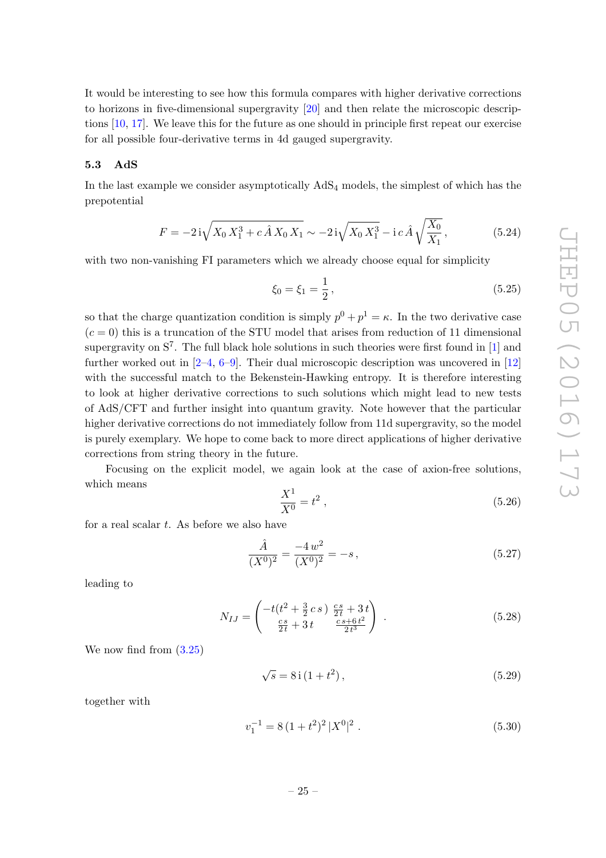It would be interesting to see how this formula compares with higher derivative corrections to horizons in five-dimensional supergravity [\[20\]](#page-31-1) and then relate the microscopic descriptions [\[10](#page-30-5), [17\]](#page-30-12). We leave this for the future as one should in principle first repeat our exercise for all possible four-derivative terms in 4d gauged supergravity.

### <span id="page-25-0"></span>5.3 AdS

In the last example we consider asymptotically AdS<sup>4</sup> models, the simplest of which has the prepotential

$$
F = -2i\sqrt{X_0 X_1^3 + c\hat{A} X_0 X_1} \sim -2i\sqrt{X_0 X_1^3} - i\,c\,\hat{A}\sqrt{\frac{X_0}{X_1}},\tag{5.24}
$$

with two non-vanishing FI parameters which we already choose equal for simplicity

$$
\xi_0 = \xi_1 = \frac{1}{2},\tag{5.25}
$$

so that the charge quantization condition is simply  $p^0 + p^1 = \kappa$ . In the two derivative case  $(c = 0)$  this is a truncation of the STU model that arises from reduction of 11 dimensional supergravity on  $S^7$ . The full black hole solutions in such theories were first found in [\[1](#page-30-0)] and further worked out in  $[2-4, 6-9]$  $[2-4, 6-9]$  $[2-4, 6-9]$ . Their dual microscopic description was uncovered in  $[12]$ with the successful match to the Bekenstein-Hawking entropy. It is therefore interesting to look at higher derivative corrections to such solutions which might lead to new tests of AdS/CFT and further insight into quantum gravity. Note however that the particular higher derivative corrections do not immediately follow from 11d supergravity, so the model is purely exemplary. We hope to come back to more direct applications of higher derivative corrections from string theory in the future.

Focusing on the explicit model, we again look at the case of axion-free solutions, which means

$$
\frac{X^1}{X^0} = t^2 \,,\tag{5.26}
$$

for a real scalar  $t$ . As before we also have

$$
\frac{\hat{A}}{(X^0)^2} = \frac{-4w^2}{(X^0)^2} = -s\,,\tag{5.27}
$$

leading to

$$
N_{IJ} = \begin{pmatrix} -t(t^2 + \frac{3}{2}cs) & \frac{cs}{2t} + 3t \\ \frac{cs}{2t} + 3t & \frac{cs + 6t^2}{2t^3} \end{pmatrix} .
$$
 (5.28)

We now find from [\(3.25\)](#page-15-2)

$$
\sqrt{s} = 8i(1+t^2),\tag{5.29}
$$

together with

$$
v_1^{-1} = 8\,(1+t^2)^2\,|X^0|^2\,. \tag{5.30}
$$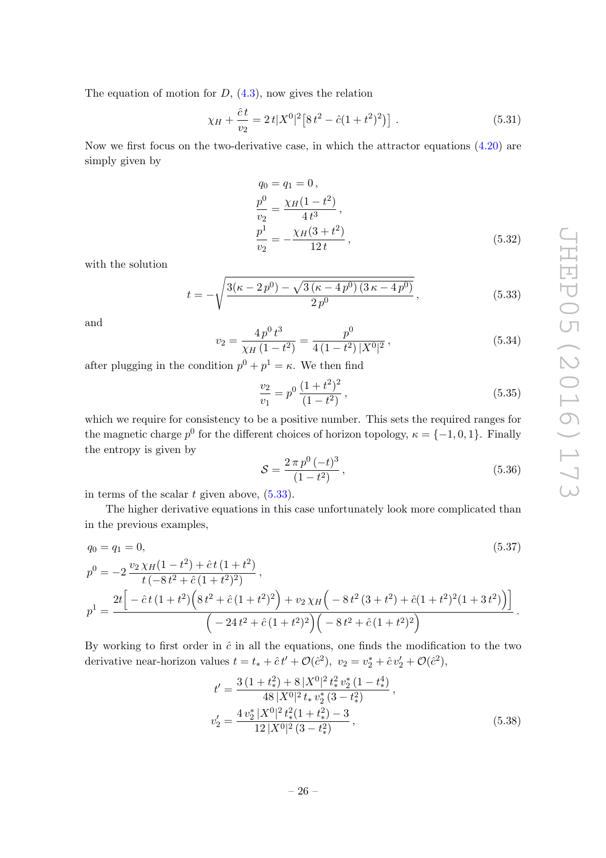The equation of motion for  $D$ ,  $(4.3)$ , now gives the relation

$$
\chi_H + \frac{\hat{c}t}{v_2} = 2t|X^0|^2[8t^2 - \hat{c}(1+t^2)^2].
$$
\n(5.31)

Now we first focus on the two-derivative case, in which the attractor equations [\(4.20\)](#page-19-1) are simply given by

$$
q_0 = q_1 = 0,
$$
  
\n
$$
\frac{p^0}{v_2} = \frac{\chi_H (1 - t^2)}{4 t^3},
$$
  
\n
$$
\frac{p^1}{v_2} = -\frac{\chi_H (3 + t^2)}{12 t},
$$
\n(5.32)

with the solution

<span id="page-26-0"></span>
$$
t = -\sqrt{\frac{3(\kappa - 2p^0) - \sqrt{3(\kappa - 4p^0)(3\kappa - 4p^0)}}{2p^0}},
$$
\n(5.33)

and

<span id="page-26-1"></span>
$$
v_2 = \frac{4p^0 t^3}{\chi_H (1 - t^2)} = \frac{p^0}{4(1 - t^2) |X^0|^2},
$$
\n(5.34)

after plugging in the condition  $p^0 + p^1 = \kappa$ . We then find

$$
\frac{v_2}{v_1} = p^0 \frac{(1+t^2)^2}{(1-t^2)},
$$
\n(5.35)

which we require for consistency to be a positive number. This sets the required ranges for the magnetic charge  $p^0$  for the different choices of horizon topology,  $\kappa = \{-1, 0, 1\}$ . Finally the entropy is given by

$$
S = \frac{2\pi p^0 (-t)^3}{(1 - t^2)},
$$
\n(5.36)

in terms of the scalar  $t$  given above,  $(5.33)$ .

The higher derivative equations in this case unfortunately look more complicated than in the previous examples,

$$
q_0 = q_1 = 0,
$$
\n
$$
p^0 = -2 \frac{v_2 \chi_H (1 - t^2) + \hat{c} t (1 + t^2)}{t (-8t^2 + \hat{c} (1 + t^2)^2)},
$$
\n
$$
p^1 = \frac{2t \left[ -\hat{c} t (1 + t^2) \left( 8t^2 + \hat{c} (1 + t^2)^2 \right) + v_2 \chi_H \left( -8t^2 (3 + t^2) + \hat{c} (1 + t^2)^2 (1 + 3t^2) \right) \right]}{\left( -24t^2 + \hat{c} (1 + t^2)^2 \right) \left( -8t^2 + \hat{c} (1 + t^2)^2 \right)}.
$$
\n(5.37)

By working to first order in  $\hat{c}$  in all the equations, one finds the modification to the two derivative near-horizon values  $t = t_* + \hat{c}t' + \mathcal{O}(\hat{c}^2)$ ,  $v_2 = v_2^* + \hat{c}v_2' + \mathcal{O}(\hat{c}^2)$ ,

$$
t' = \frac{3\left(1+t_*^2\right) + 8\left|X^0\right|^2 t_*^2 v_2^* \left(1-t_*^4\right)}{48\left|X^0\right|^2 t_* v_2^* \left(3-t_*^2\right)},
$$
  

$$
v_2' = \frac{4\left|v_2^*\right| X^0\right|^2 t_*^2 \left(1+t_*^2\right) - 3}{12\left|X^0\right|^2 \left(3-t_*^2\right)},
$$
(5.38)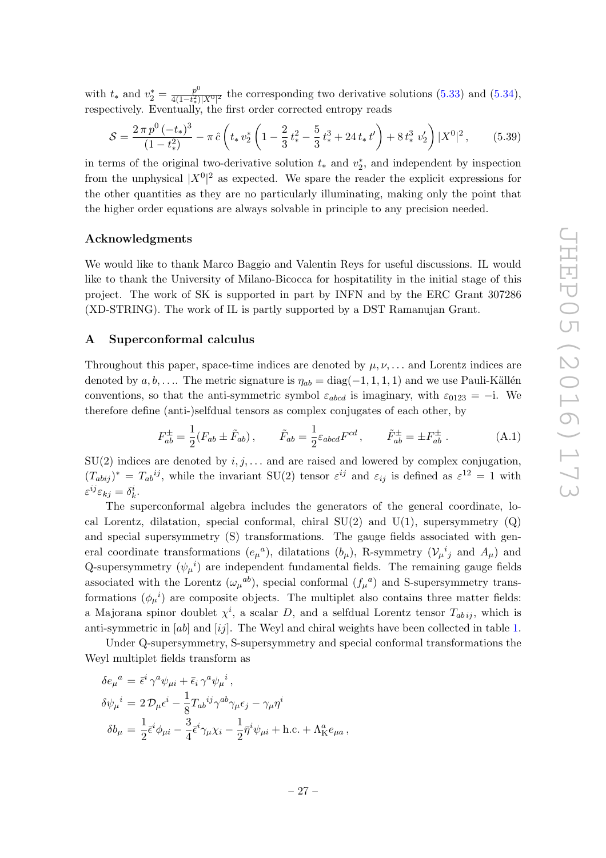with  $t_*$  and  $v_2^* = \frac{p^0}{4(1-t_*^2)}$  $\frac{p^3}{4(1-t_x^2)|X^0|^2}$  the corresponding two derivative solutions [\(5.33\)](#page-26-0) and [\(5.34\)](#page-26-1), respectively. Eventually, the first order corrected entropy reads

$$
S = \frac{2\,\pi\,p^0\,(-t_*)^3}{(1-t_*^2)} - \pi\,\hat{c}\left(t_*\,v_2^*\left(1-\frac{2}{3}\,t_*^2-\frac{5}{3}\,t_*^3+24\,t_*\,t'\right)+8\,t_*^3\,v_2'\right)|X^0|^2\,,\tag{5.39}
$$

in terms of the original two-derivative solution  $t_*$  and  $v_2^*$ , and independent by inspection from the unphysical  $|X^0|^2$  as expected. We spare the reader the explicit expressions for the other quantities as they are no particularly illuminating, making only the point that the higher order equations are always solvable in principle to any precision needed.

# Acknowledgments

We would like to thank Marco Baggio and Valentin Reys for useful discussions. IL would like to thank the University of Milano-Bicocca for hospitatility in the initial stage of this project. The work of SK is supported in part by INFN and by the ERC Grant 307286 (XD-STRING). The work of IL is partly supported by a DST Ramanujan Grant.

# <span id="page-27-0"></span>A Superconformal calculus

Throughout this paper, space-time indices are denoted by  $\mu, \nu, \ldots$  and Lorentz indices are denoted by  $a, b, \ldots$ . The metric signature is  $\eta_{ab} = \text{diag}(-1, 1, 1, 1)$  and we use Pauli-Källén conventions, so that the anti-symmetric symbol  $\varepsilon_{abcd}$  is imaginary, with  $\varepsilon_{0123} = -i$ . We therefore define (anti-)selfdual tensors as complex conjugates of each other, by

$$
F_{ab}^{\pm} = \frac{1}{2}(F_{ab} \pm \tilde{F}_{ab}), \qquad \tilde{F}_{ab} = \frac{1}{2}\varepsilon_{abcd}F^{cd}, \qquad \tilde{F}_{ab}^{\pm} = \pm F_{ab}^{\pm}.
$$
 (A.1)

 $SU(2)$  indices are denoted by  $i, j, \ldots$  and are raised and lowered by complex conjugation,  $(T_{abij})^* = T_{ab}^{ij}$ , while the invariant SU(2) tensor  $\varepsilon^{ij}$  and  $\varepsilon_{ij}$  is defined as  $\varepsilon^{12} = 1$  with  $\varepsilon^{ij}\varepsilon_{kj}=\delta^i_k.$ 

The superconformal algebra includes the generators of the general coordinate, local Lorentz, dilatation, special conformal, chiral  $SU(2)$  and  $U(1)$ , supersymmetry  $(Q)$ and special supersymmetry (S) transformations. The gauge fields associated with general coordinate transformations  $(e_{\mu}{}^{a})$ , dilatations  $(b_{\mu})$ , R-symmetry  $(\mathcal{V}_{\mu}{}^{i}{}_{j}$  and  $A_{\mu})$  and Q-supersymmetry  $(\psi_{\mu}^{\ \ i})$  are independent fundamental fields. The remaining gauge fields associated with the Lorentz  $(\omega_{\mu}{}^{ab})$ , special conformal  $(f_{\mu}{}^{a})$  and S-supersymmetry transformations  $(\phi_{\mu}^{\ \ i})$  are composite objects. The multiplet also contains three matter fields: a Majorana spinor doublet  $\chi^i$ , a scalar D, and a selfdual Lorentz tensor  $T_{ab\,ij}$ , which is anti-symmetric in  $[ab]$  and  $[ij]$ . The Weyl and chiral weights have been collected in table [1.](#page-28-0)

Under Q-supersymmetry, S-supersymmetry and special conformal transformations the Weyl multiplet fields transform as

$$
\delta e_{\mu}{}^{a} = \bar{\epsilon}^{i} \gamma^{a} \psi_{\mu i} + \bar{\epsilon}_{i} \gamma^{a} \psi_{\mu}{}^{i},
$$
  
\n
$$
\delta \psi_{\mu}{}^{i} = 2 \mathcal{D}_{\mu} \epsilon^{i} - \frac{1}{8} T_{ab}{}^{ij} \gamma^{ab} \gamma_{\mu} \epsilon_{j} - \gamma_{\mu} \eta^{i}
$$
  
\n
$$
\delta b_{\mu} = \frac{1}{2} \bar{\epsilon}^{i} \phi_{\mu i} - \frac{3}{4} \bar{\epsilon}^{i} \gamma_{\mu} \chi_{i} - \frac{1}{2} \bar{\eta}^{i} \psi_{\mu i} + \text{h.c.} + \Lambda_{\text{K}}^{a} e_{\mu a},
$$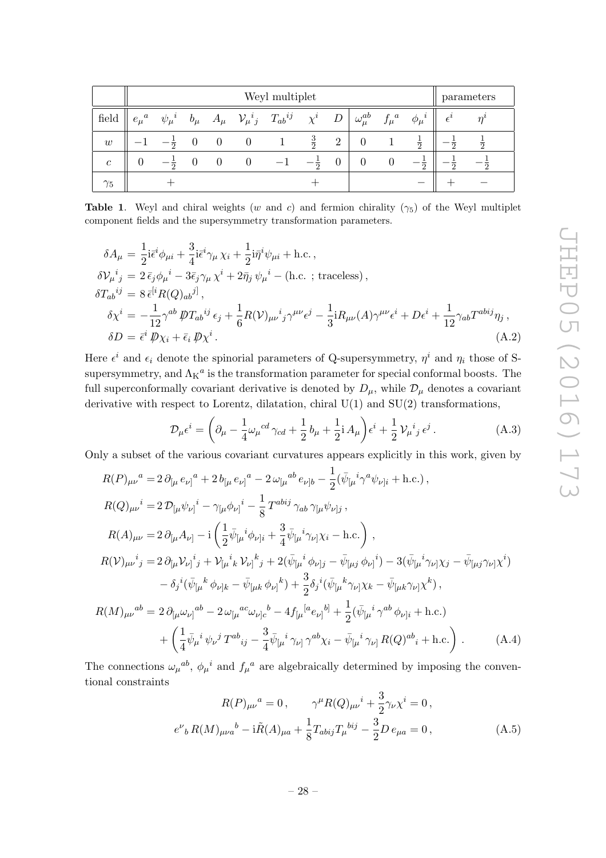|               | Weyl multiplet |                |          |  |          |                                                        |                |                |                     |             | parameters     |              |                |
|---------------|----------------|----------------|----------|--|----------|--------------------------------------------------------|----------------|----------------|---------------------|-------------|----------------|--------------|----------------|
| field         | $e_\mu{}^a$    | $\psi_\mu{}^i$ | $b_\mu$  |  |          | $A_\mu \quad {\cal V}_\mu{}^i{}_j \quad T_{ab}{}^{ij}$ | $\chi^i$       | D              | $\omega_{\mu}^{ab}$ | $f_\mu{}^a$ | $\phi_\mu{}^i$ | $\epsilon^i$ |                |
| w             |                | $-\frac{1}{2}$ | $\theta$ |  | $\theta$ |                                                        | $\frac{3}{2}$  | $\overline{2}$ |                     |             | $\frac{1}{2}$  | 5            |                |
| $\mathcal{C}$ |                | 一 층            | 0        |  |          |                                                        | $-\frac{1}{2}$ |                | 0                   |             | $\overline{2}$ | റ            | $\overline{2}$ |
| $\gamma_5$    |                |                |          |  |          |                                                        |                |                |                     |             |                |              |                |

<span id="page-28-0"></span>**Table 1.** Weyl and chiral weights (w and c) and fermion chirality ( $\gamma_5$ ) of the Weyl multiplet component fields and the supersymmetry transformation parameters.

$$
\delta A_{\mu} = \frac{1}{2} i \bar{\epsilon}^{i} \phi_{\mu i} + \frac{3}{4} i \bar{\epsilon}^{i} \gamma_{\mu} \chi_{i} + \frac{1}{2} i \bar{\eta}^{i} \psi_{\mu i} + \text{h.c.}\,,
$$
  
\n
$$
\delta V_{\mu}{}^{i}{}_{j} = 2 \bar{\epsilon}_{j} \phi_{\mu}{}^{i} - 3 \bar{\epsilon}_{j} \gamma_{\mu} \chi^{i} + 2 \bar{\eta}_{j} \psi_{\mu}{}^{i} - (\text{h.c.}; \text{traceless})\,,
$$
  
\n
$$
\delta T_{ab}{}^{ij} = 8 \bar{\epsilon}^{[i} R(Q)_{ab}{}^{j]},
$$
  
\n
$$
\delta \chi^{i} = -\frac{1}{12} \gamma^{ab} \not{D} T_{ab}{}^{ij} \epsilon_{j} + \frac{1}{6} R(V)_{\mu\nu}{}^{i}{}_{j} \gamma^{\mu\nu} \epsilon^{j} - \frac{1}{3} i R_{\mu\nu} (A) \gamma^{\mu\nu} \epsilon^{i} + D \epsilon^{i} + \frac{1}{12} \gamma_{ab} T^{abij} \eta_{j},
$$
  
\n
$$
\delta D = \bar{\epsilon}^{i} \not{D} \chi_{i} + \bar{\epsilon}_{i} \not{D} \chi^{i}.
$$
  
\n(A.2)

Here  $\epsilon^i$  and  $\epsilon_i$  denote the spinorial parameters of Q-supersymmetry,  $\eta^i$  and  $\eta_i$  those of Ssupersymmetry, and  $\Lambda_K^a$  is the transformation parameter for special conformal boosts. The full superconformally covariant derivative is denoted by  $D_{\mu}$ , while  $\mathcal{D}_{\mu}$  denotes a covariant derivative with respect to Lorentz, dilatation, chiral U(1) and SU(2) transformations,

$$
\mathcal{D}_{\mu}\epsilon^{i} = \left(\partial_{\mu} - \frac{1}{4}\omega_{\mu}{}^{cd}\gamma_{cd} + \frac{1}{2}b_{\mu} + \frac{1}{2}\mathrm{i}\,A_{\mu}\right)\epsilon^{i} + \frac{1}{2}\,\mathcal{V}_{\mu}{}^{i}{}_{j}\,\epsilon^{j}.
$$
\n(A.3)

Only a subset of the various covariant curvatures appears explicitly in this work, given by

$$
R(P)_{\mu\nu}{}^{a} = 2 \partial_{[\mu} e_{\nu]}{}^{a} + 2 b_{[\mu} e_{\nu]}{}^{a} - 2 \omega_{[\mu}{}^{ab} e_{\nu]b} - \frac{1}{2} (\bar{\psi}_{[\mu}{}^{i} \gamma^{a} \psi_{\nu]i} + \text{h.c.}),
$$
  
\n
$$
R(Q)_{\mu\nu}{}^{i} = 2 \mathcal{D}_{[\mu} \psi_{\nu]}{}^{i} - \gamma_{[\mu} \phi_{\nu]}{}^{i} - \frac{1}{8} T^{abij} \gamma_{ab} \gamma_{[\mu} \psi_{\nu]j} ,
$$
  
\n
$$
R(A)_{\mu\nu} = 2 \partial_{[\mu} A_{\nu]} - i \left( \frac{1}{2} \bar{\psi}_{[\mu}{}^{i} \phi_{\nu]i} + \frac{3}{4} \bar{\psi}_{[\mu}{}^{i} \gamma_{\nu]} \chi_{i} - \text{h.c.} \right) ,
$$
  
\n
$$
R(V)_{\mu\nu}{}^{i}{}_{j} = 2 \partial_{[\mu} V_{\nu]}{}^{i}{}_{j} + V_{[\mu}{}^{i}{}_{k} V_{\nu]}{}^{k}{}_{j} + 2 (\bar{\psi}_{[\mu}{}^{i} \phi_{\nu]j} - \bar{\psi}_{[\mu j} \phi_{\nu]}{}^{i}) - 3 (\bar{\psi}_{[\mu}{}^{i} \gamma_{\nu]} \chi_{j} - \bar{\psi}_{[\mu j} \gamma_{\nu]} \chi^{i})
$$
  
\n
$$
- \delta_{j}{}^{i} (\bar{\psi}_{[\mu}{}^{k} \phi_{\nu]k} - \bar{\psi}_{[\mu k} \phi_{\nu]}{}^{k}) + \frac{3}{2} \delta_{j}{}^{i} (\bar{\psi}_{[\mu}{}^{k} \gamma_{\nu]} \chi_{k} - \bar{\psi}_{[\mu k} \gamma_{\nu]} \chi^{k}) ,
$$
  
\n
$$
R(M)_{\mu\nu}{}^{ab} = 2 \partial_{[\mu} \omega_{\nu]}{}^{ab} - 2 \omega_{[\mu}{}^{ac} \omega_{\nu]c}{}^{b} - 4 f_{[\mu}{}^{[a} e_{\nu]}{}^{b]} + \frac{1}{2} (\bar{\psi}_{[\mu}{}^{i} \gamma^{ab} \phi_{\nu]i} + \text{h.c.})
$$
  
\n
$$
+ (\frac{1}{4
$$

The connections  $\omega_{\mu}{}^{ab}$ ,  $\phi_{\mu}{}^{i}$  and  $f_{\mu}{}^{a}$  are algebraically determined by imposing the conventional constraints

$$
R(P)_{\mu\nu}{}^{a} = 0, \qquad \gamma^{\mu} R(Q)_{\mu\nu}{}^{i} + \frac{3}{2} \gamma_{\nu} \chi^{i} = 0,
$$
  

$$
e^{\nu}{}_{b} R(M)_{\mu\nu a}{}^{b} - i \tilde{R}(A)_{\mu a} + \frac{1}{8} T_{abij} T_{\mu}{}^{bij} - \frac{3}{2} D e_{\mu a} = 0,
$$
 (A.5)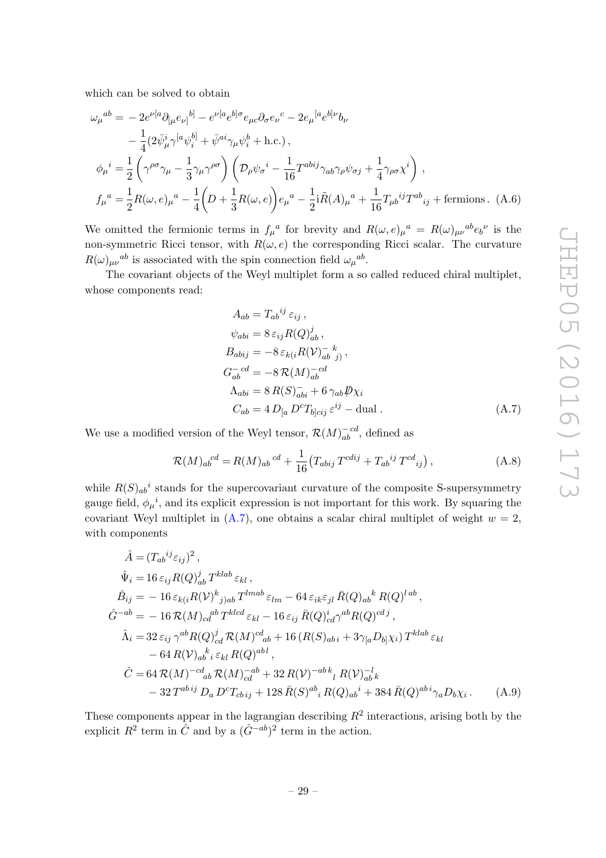which can be solved to obtain

$$
\omega_{\mu}{}^{ab} = -2e^{\nu[a}\partial_{[\mu}e_{\nu]}{}^{b]} - e^{\nu[a}e^{b]\sigma}e_{\mu c}\partial_{\sigma}e_{\nu}{}^{c} - 2e_{\mu}{}^{[a}e^{b]\nu}b_{\nu}
$$
  
\n
$$
-\frac{1}{4}(2\bar{\psi}_{\mu}^{i}\gamma^{[a}\psi_{i}^{b]} + \bar{\psi}^{ai}\gamma_{\mu}\psi_{i}^{b} + \text{h.c.}),
$$
  
\n
$$
\phi_{\mu}{}^{i} = \frac{1}{2}\left(\gamma^{\rho\sigma}\gamma_{\mu} - \frac{1}{3}\gamma_{\mu}\gamma^{\rho\sigma}\right)\left(\mathcal{D}_{\rho}\psi_{\sigma}{}^{i} - \frac{1}{16}T^{abij}\gamma_{ab}\gamma_{\rho}\psi_{\sigma j} + \frac{1}{4}\gamma_{\rho\sigma}\chi^{i}\right),
$$
  
\n
$$
f_{\mu}{}^{a} = \frac{1}{2}R(\omega,e)_{\mu}{}^{a} - \frac{1}{4}\left(D + \frac{1}{3}R(\omega,e)\right)e_{\mu}{}^{a} - \frac{1}{2}i\tilde{R}(A)_{\mu}{}^{a} + \frac{1}{16}T_{\mu b}{}^{ij}T^{ab}{}_{ij} + \text{fermions. (A.6)}
$$

We omitted the fermionic terms in  $f_\mu{}^a$  for brevity and  $R(\omega, e)_\mu{}^a = R(\omega)_{\mu\nu}{}^{ab}e_b{}^\nu$  is the non-symmetric Ricci tensor, with  $R(\omega, e)$  the corresponding Ricci scalar. The curvature  $R(\omega)_{\mu\nu}{}^{ab}$  is associated with the spin connection field  $\omega_{\mu}{}^{ab}$ .

The covariant objects of the Weyl multiplet form a so called reduced chiral multiplet, whose components read:

<span id="page-29-1"></span>
$$
A_{ab} = T_{ab}^{ij} \varepsilon_{ij},
$$
  
\n
$$
\psi_{abi} = 8 \varepsilon_{ij} R(Q)_{ab}^j,
$$
  
\n
$$
B_{abij} = -8 \varepsilon_{k(i} R(V)_{ab}^{-k} j),
$$
  
\n
$$
G_{ab}^{-cd} = -8 \mathcal{R}(M)_{ab}^{-cd}
$$
  
\n
$$
\Lambda_{abi} = 8 \mathcal{R}(S)_{abi}^{-1} + 6 \gamma_{ab} \mathcal{P} \chi_i
$$
  
\n
$$
C_{ab} = 4 D_{[a} D^c T_{b]cij} \varepsilon^{ij} - \text{dual}.
$$
\n(A.7)

We use a modified version of the Weyl tensor,  $\mathcal{R}(M)_{ab}^{-cd}$ , defined as

<span id="page-29-0"></span>
$$
\mathcal{R}(M)_{ab}^{cd} = R(M)_{ab}^{cd} + \frac{1}{16} \left( T_{abij} T^{cdij} + T_{ab}^{ij} T^{cd}{}_{ij} \right), \tag{A.8}
$$

while  $R(S)_{ab}{}^i$  stands for the supercovariant curvature of the composite S-supersymmetry gauge field,  $\phi_{\mu}{}^{i}$ , and its explicit expression is not important for this work. By squaring the covariant Weyl multiplet in  $(A.7)$ , one obtains a scalar chiral multiplet of weight  $w = 2$ , with components

$$
\hat{A} = (T_{ab}^{ij}\varepsilon_{ij})^2, \n\hat{\Psi}_i = 16 \varepsilon_{ij} R(Q)_{ab}^j T^{klab} \varepsilon_{kl}, \n\hat{B}_{ij} = -16 \varepsilon_{k(i} R(V)^k{}_{j)ab} T^{lmab} \varepsilon_{lm} - 64 \varepsilon_{ik} \varepsilon_{jl} \bar{R}(Q)_{ab}^k R(Q)^{lab}, \n\hat{G}^{-ab} = -16 \mathcal{R}(M)_{cd}^{ab} T^{klcd} \varepsilon_{kl} - 16 \varepsilon_{ij} \bar{R}(Q)_{cd}^i \gamma^{ab} R(Q)^{cdj}, \n\hat{\Lambda}_i = 32 \varepsilon_{ij} \gamma^{ab} R(Q)_{cd}^j \mathcal{R}(M)^{cd}_{ab} + 16 (R(S)_{ab i} + 3\gamma_{[a} D_{b]} \chi_i) T^{klab} \varepsilon_{kl} \n- 64 R(V)_{ab}^k{}_{i} \varepsilon_{kl} R(Q)^{abl}, \n\hat{C} = 64 \mathcal{R}(M)^{-cd}_{ab} \mathcal{R}(M)_{cd}^{-ab} + 32 R(V)^{-ab}{}_{l} R(V)_{ab}^{-l} k \n- 32 T^{abij} D_a D^c T_{cbij} + 128 \bar{R}(S)^{ab}{}_{i} R(Q)_{ab}^i + 384 \bar{R}(Q)^{abi} \gamma_a D_b \chi_i.
$$
\n(A.9)

These components appear in the lagrangian describing  $R^2$  interactions, arising both by the explicit  $R^2$  term in  $\hat{C}$  and by a  $(\hat{G}^{-ab})^2$  term in the action.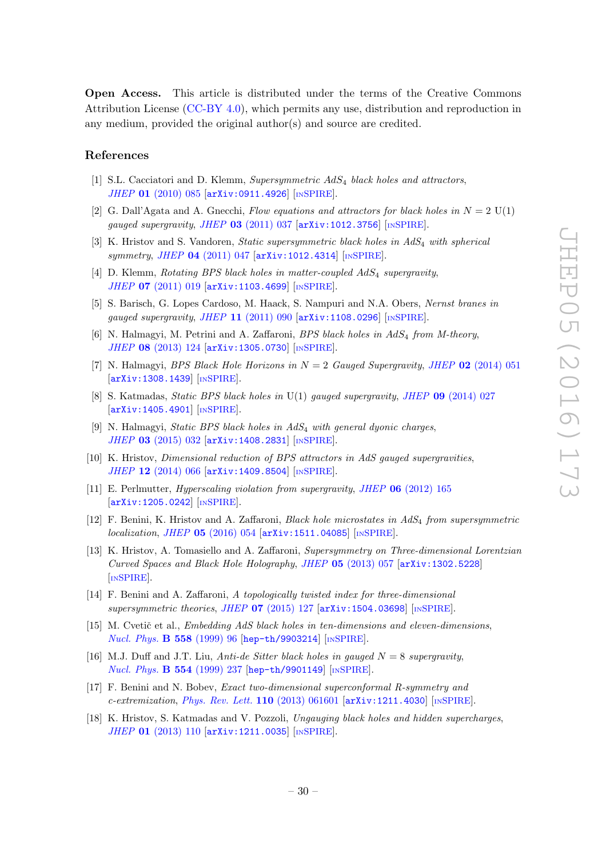Open Access. This article is distributed under the terms of the Creative Commons Attribution License [\(CC-BY 4.0\)](http://creativecommons.org/licenses/by/4.0/), which permits any use, distribution and reproduction in any medium, provided the original author(s) and source are credited.

### References

- <span id="page-30-0"></span>[1] S.L. Cacciatori and D. Klemm, Supersymmetric AdS<sub>4</sub> black holes and attractors, JHEP 01 [\(2010\) 085](http://dx.doi.org/10.1007/JHEP01(2010)085) [[arXiv:0911.4926](http://arxiv.org/abs/0911.4926)] [IN[SPIRE](http://inspirehep.net/search?p=find+EPRINT+arXiv:0911.4926)].
- <span id="page-30-1"></span>[2] G. Dall'Agata and A. Gneechi, Flow equations and attractors for black holes in  $N = 2$  U(1) gauged supergravity, JHEP  $03$  [\(2011\) 037](http://dx.doi.org/10.1007/JHEP03(2011)037)  $\text{arXiv:1012.3756}$  $\text{arXiv:1012.3756}$  $\text{arXiv:1012.3756}$  [IN[SPIRE](http://inspirehep.net/search?p=find+EPRINT+arXiv:1012.3756)].
- <span id="page-30-2"></span>[3] K. Hristov and S. Vandoren, Static supersymmetric black holes in AdS4 with spherical symmetry, JHEP 04 [\(2011\) 047](http://dx.doi.org/10.1007/JHEP04(2011)047) [[arXiv:1012.4314](http://arxiv.org/abs/1012.4314)] [IN[SPIRE](http://inspirehep.net/search?p=find+EPRINT+arXiv:1012.4314)].
- <span id="page-30-3"></span>[4] D. Klemm, Rotating BPS black holes in matter-coupled  $AdS_4$  supergravity, JHEP 07 [\(2011\) 019](http://dx.doi.org/10.1007/JHEP07(2011)019) [[arXiv:1103.4699](http://arxiv.org/abs/1103.4699)] [IN[SPIRE](http://inspirehep.net/search?p=find+EPRINT+arXiv:1103.4699)].
- [5] S. Barisch, G. Lopes Cardoso, M. Haack, S. Nampuri and N.A. Obers, Nernst branes in gauged supergravity, JHEP  $11$  [\(2011\) 090](http://dx.doi.org/10.1007/JHEP11(2011)090)  $\text{arXiv:1108.0296}$  $\text{arXiv:1108.0296}$  $\text{arXiv:1108.0296}$  [IN[SPIRE](http://inspirehep.net/search?p=find+EPRINT+arXiv:1108.0296)].
- <span id="page-30-15"></span>[6] N. Halmagyi, M. Petrini and A. Zaffaroni, BPS black holes in  $AdS<sub>4</sub>$  from M-theory, JHEP 08 [\(2013\) 124](http://dx.doi.org/10.1007/JHEP08(2013)124) [[arXiv:1305.0730](http://arxiv.org/abs/1305.0730)] [IN[SPIRE](http://inspirehep.net/search?p=find+EPRINT+arXiv:1305.0730)].
- [7] N. Halmagyi, *BPS Black Hole Horizons in*  $N = 2$  *Gauged Supergravity, JHEP* 02 [\(2014\) 051](http://dx.doi.org/10.1007/JHEP02(2014)051) [[arXiv:1308.1439](http://arxiv.org/abs/1308.1439)] [IN[SPIRE](http://inspirehep.net/search?p=find+EPRINT+arXiv:1308.1439)].
- <span id="page-30-14"></span>[8] S. Katmadas, Static BPS black holes in U(1) gauged supergravity, JHEP 09 [\(2014\) 027](http://dx.doi.org/10.1007/JHEP09(2014)027) [[arXiv:1405.4901](http://arxiv.org/abs/1405.4901)] [IN[SPIRE](http://inspirehep.net/search?p=find+EPRINT+arXiv:1405.4901)].
- <span id="page-30-4"></span>[9] N. Halmagyi, Static BPS black holes in AdS<sub>4</sub> with general dyonic charges, JHEP 03 [\(2015\) 032](http://dx.doi.org/10.1007/JHEP03(2015)032) [[arXiv:1408.2831](http://arxiv.org/abs/1408.2831)] [IN[SPIRE](http://inspirehep.net/search?p=find+EPRINT+arXiv:1408.2831)].
- <span id="page-30-5"></span>[10] K. Hristov, Dimensional reduction of BPS attractors in AdS gauged supergravities, JHEP 12 [\(2014\) 066](http://dx.doi.org/10.1007/JHEP12(2014)066) [[arXiv:1409.8504](http://arxiv.org/abs/1409.8504)] [IN[SPIRE](http://inspirehep.net/search?p=find+EPRINT+arXiv:1409.8504)].
- <span id="page-30-6"></span>[11] E. Perlmutter, Hyperscaling violation from supergravity, JHEP 06 [\(2012\) 165](http://dx.doi.org/10.1007/JHEP06(2012)165) [[arXiv:1205.0242](http://arxiv.org/abs/1205.0242)] [IN[SPIRE](http://inspirehep.net/search?p=find+EPRINT+arXiv:1205.0242)].
- <span id="page-30-7"></span>[12] F. Benini, K. Hristov and A. Zaffaroni, *Black hole microstates in AdS<sub>4</sub> from supersymmetric* localization, JHEP 05 [\(2016\) 054](http://dx.doi.org/10.1007/JHEP05(2016)054) [[arXiv:1511.04085](http://arxiv.org/abs/1511.04085)] [IN[SPIRE](http://inspirehep.net/search?p=find+EPRINT+arXiv:1511.04085)].
- <span id="page-30-8"></span>[13] K. Hristov, A. Tomasiello and A. Zaffaroni, Supersymmetry on Three-dimensional Lorentzian Curved Spaces and Black Hole Holography, JHEP 05 [\(2013\) 057](http://dx.doi.org/10.1007/JHEP05(2013)057) [[arXiv:1302.5228](http://arxiv.org/abs/1302.5228)] [IN[SPIRE](http://inspirehep.net/search?p=find+EPRINT+arXiv:1302.5228)].
- <span id="page-30-9"></span>[14] F. Benini and A. Zaffaroni, A topologically twisted index for three-dimensional supersymmetric theories, JHEP 07 [\(2015\) 127](http://dx.doi.org/10.1007/JHEP07(2015)127) [[arXiv:1504.03698](http://arxiv.org/abs/1504.03698)] [IN[SPIRE](http://inspirehep.net/search?p=find+EPRINT+arXiv:1504.03698)].
- <span id="page-30-10"></span>[15] M. Cvetič et al., *Embedding AdS black holes in ten-dimensions and eleven-dimensions*, [Nucl. Phys.](http://dx.doi.org/10.1016/S0550-3213(99)00419-8) **B 558** (1999) 96 [[hep-th/9903214](http://arxiv.org/abs/hep-th/9903214)] [IN[SPIRE](http://inspirehep.net/search?p=find+EPRINT+hep-th/9903214)].
- <span id="page-30-11"></span>[16] M.J. Duff and J.T. Liu, Anti-de Sitter black holes in gauged  $N = 8$  supergravity, [Nucl. Phys.](http://dx.doi.org/10.1016/S0550-3213(99)00299-0) B 554 (1999) 237 [[hep-th/9901149](http://arxiv.org/abs/hep-th/9901149)] [IN[SPIRE](http://inspirehep.net/search?p=find+EPRINT+hep-th/9901149)].
- <span id="page-30-12"></span>[17] F. Benini and N. Bobev, *Exact two-dimensional superconformal R-symmetry and* c-extremization, [Phys. Rev. Lett.](http://dx.doi.org/10.1103/PhysRevLett.110.061601)  $110$  (2013) 061601 [[arXiv:1211.4030](http://arxiv.org/abs/1211.4030)] [IN[SPIRE](http://inspirehep.net/search?p=find+EPRINT+arXiv:1211.4030)].
- <span id="page-30-13"></span>[18] K. Hristov, S. Katmadas and V. Pozzoli, Ungauging black holes and hidden supercharges, JHEP 01 [\(2013\) 110](http://dx.doi.org/10.1007/JHEP01(2013)110) [[arXiv:1211.0035](http://arxiv.org/abs/1211.0035)] [IN[SPIRE](http://inspirehep.net/search?p=find+EPRINT+arXiv:1211.0035)].